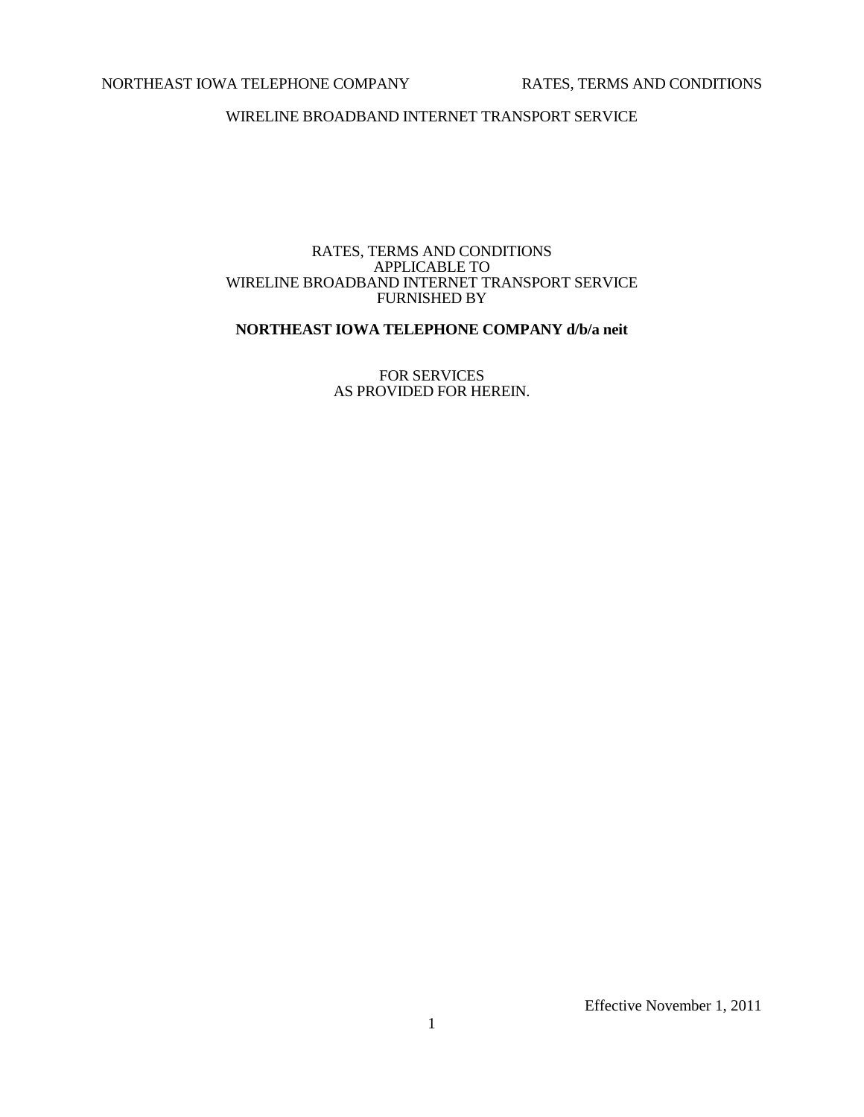# NORTHEAST IOWA TELEPHONE COMPANY RATES, TERMS AND CONDITIONS

WIRELINE BROADBAND INTERNET TRANSPORT SERVICE

# RATES, TERMS AND CONDITIONS APPLICABLE TO WIRELINE BROADBAND INTERNET TRANSPORT SERVICE FURNISHED BY

# **NORTHEAST IOWA TELEPHONE COMPANY d/b/a neit**

FOR SERVICES AS PROVIDED FOR HEREIN.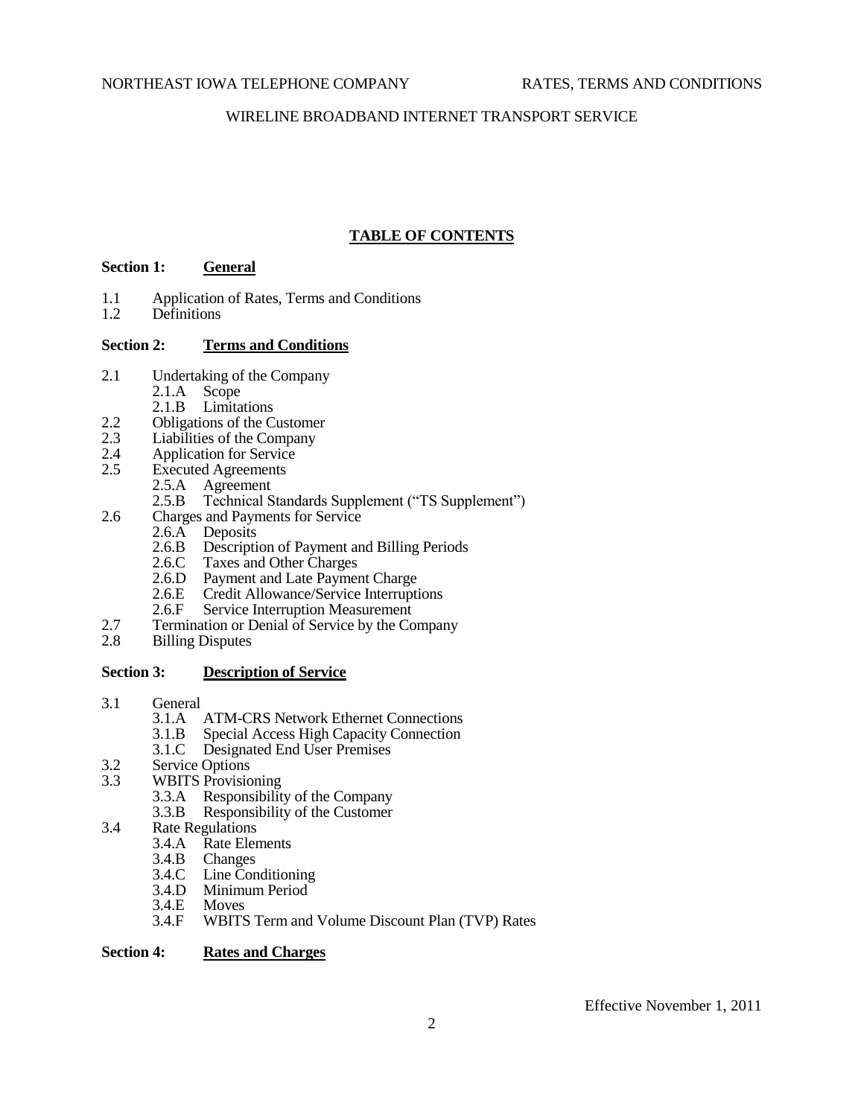# **TABLE OF CONTENTS**

# **Section 1: General**

- 1.1 Application of Rates, Terms and Conditions<br>1.2 Definitions
- Definitions

# **Section 2: Terms and Conditions**

- 2.1 Undertaking of the Company
	- 2.1.A Scope
	- 2.1.B Limitations
- 2.2 Obligations of the Customer<br>2.3 Liabilities of the Company
- 2.3 Liabilities of the Company<br>2.4 Application for Service
- Application for Service
- 2.5 Executed Agreements
	- 2.5.A Agreement<br>2.5.B Technical S
	- Technical Standards Supplement ("TS Supplement")
- 2.6 Charges and Payments for Service
	- 2.6.A Deposits
	- 2.6.B Description of Payment and Billing Periods<br>2.6.C Taxes and Other Charges
	- Taxes and Other Charges
	- 2.6.D Payment and Late Payment Charge<br>2.6.E Credit Allowance/Service Interrupti
	- 2.6.E Credit Allowance/Service Interruptions<br>2.6.F Service Interruption Measurement
	- Service Interruption Measurement
- 2.7 Termination or Denial of Service by the Company
- 2.8 Billing Disputes

# **Section 3: Description of Service**

- 3.1 General
	- 3.1.A ATM-CRS Network Ethernet Connections
	- 3.1.B Special Access High Capacity Connection
	- 3.1.C Designated End User Premises
- 3.2 Service Options<br>3.3 WBITS Provisio
	- WBITS Provisioning
		- 3.3.A Responsibility of the Company
		- 3.3.B Responsibility of the Customer
- 3.4 Rate Regulations
	- 3.4.A Rate Elements
	- 3.4.B Changes
	- 3.4.C Line Conditioning
	- 3.4.D Minimum Period<br>3.4.E Moves
	- $3.4.E$
	- 3.4.F WBITS Term and Volume Discount Plan (TVP) Rates

# **Section 4: Rates and Charges**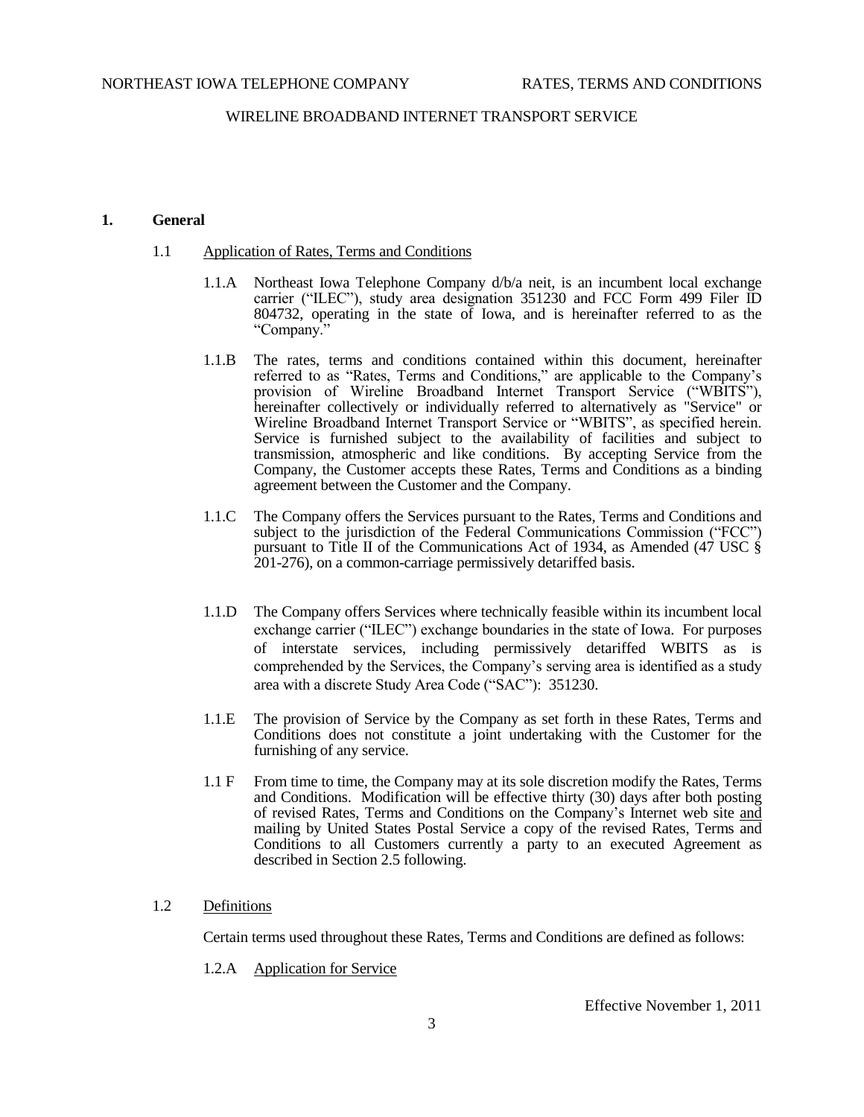# **1. General**

# 1.1 Application of Rates, Terms and Conditions

- 1.1.A Northeast Iowa Telephone Company d/b/a neit, is an incumbent local exchange carrier ("ILEC"), study area designation 351230 and FCC Form 499 Filer ID 804732, operating in the state of Iowa, and is hereinafter referred to as the "Company."
- 1.1.B The rates, terms and conditions contained within this document, hereinafter referred to as "Rates, Terms and Conditions," are applicable to the Company's provision of Wireline Broadband Internet Transport Service ("WBITS"), hereinafter collectively or individually referred to alternatively as "Service" or Wireline Broadband Internet Transport Service or "WBITS", as specified herein. Service is furnished subject to the availability of facilities and subject to transmission, atmospheric and like conditions. By accepting Service from the Company, the Customer accepts these Rates, Terms and Conditions as a binding agreement between the Customer and the Company.
- 1.1.C The Company offers the Services pursuant to the Rates, Terms and Conditions and subject to the jurisdiction of the Federal Communications Commission ("FCC") pursuant to Title II of the Communications Act of 1934, as Amended (47 USC § 201-276), on a common-carriage permissively detariffed basis.
- 1.1.D The Company offers Services where technically feasible within its incumbent local exchange carrier ("ILEC") exchange boundaries in the state of Iowa. For purposes of interstate services, including permissively detariffed WBITS as is comprehended by the Services, the Company's serving area is identified as a study area with a discrete Study Area Code ("SAC"): 351230.
- 1.1.E The provision of Service by the Company as set forth in these Rates, Terms and Conditions does not constitute a joint undertaking with the Customer for the furnishing of any service.
- 1.1 F From time to time, the Company may at its sole discretion modify the Rates, Terms and Conditions. Modification will be effective thirty (30) days after both posting of revised Rates, Terms and Conditions on the Company's Internet web site and mailing by United States Postal Service a copy of the revised Rates, Terms and Conditions to all Customers currently a party to an executed Agreement as described in Section 2.5 following.

# 1.2 Definitions

Certain terms used throughout these Rates, Terms and Conditions are defined as follows:

1.2.A Application for Service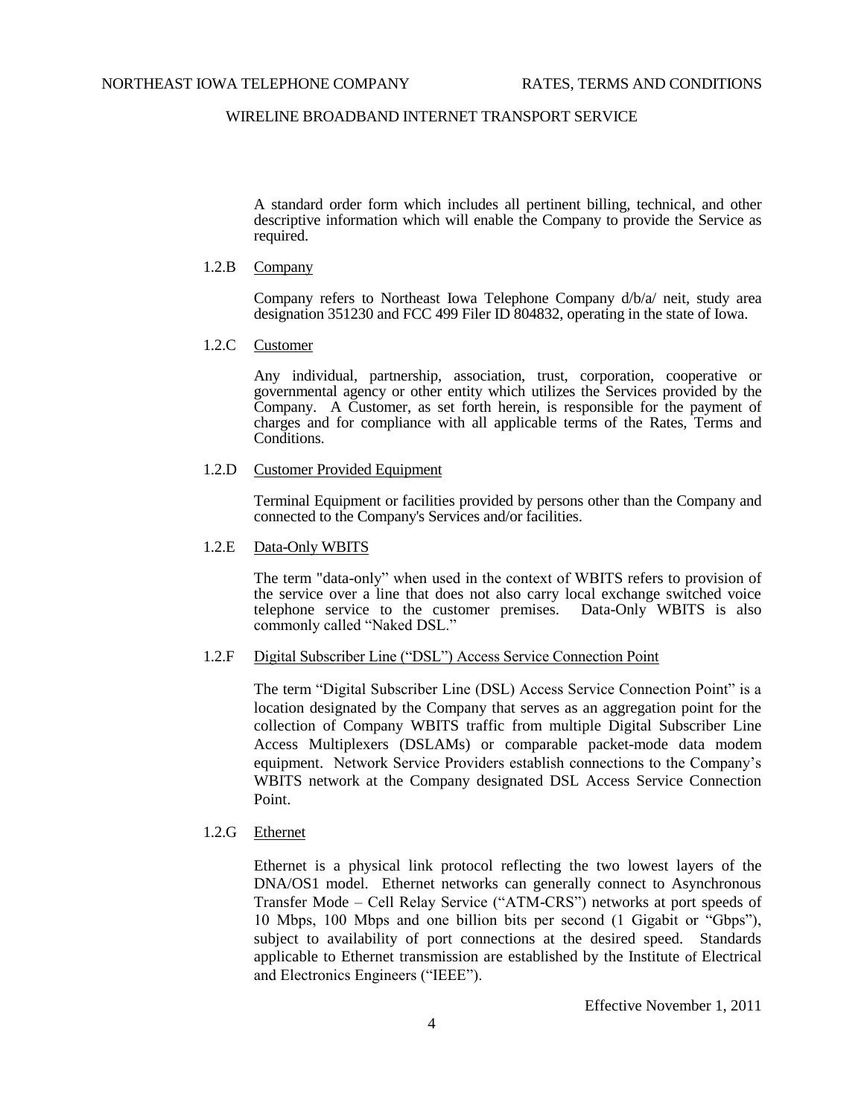A standard order form which includes all pertinent billing, technical, and other descriptive information which will enable the Company to provide the Service as required.

## 1.2.B Company

Company refers to Northeast Iowa Telephone Company d/b/a/ neit, study area designation 351230 and FCC 499 Filer ID 804832, operating in the state of Iowa.

1.2.C Customer

Any individual, partnership, association, trust, corporation, cooperative or governmental agency or other entity which utilizes the Services provided by the Company. A Customer, as set forth herein, is responsible for the payment of charges and for compliance with all applicable terms of the Rates, Terms and Conditions.

### 1.2.D Customer Provided Equipment

Terminal Equipment or facilities provided by persons other than the Company and connected to the Company's Services and/or facilities.

### 1.2.E Data-Only WBITS

The term "data-only" when used in the context of WBITS refers to provision of the service over a line that does not also carry local exchange switched voice telephone service to the customer premises. Data-Only WBITS is also commonly called "Naked DSL."

## 1.2.F Digital Subscriber Line ("DSL") Access Service Connection Point

The term "Digital Subscriber Line (DSL) Access Service Connection Point" is a location designated by the Company that serves as an aggregation point for the collection of Company WBITS traffic from multiple Digital Subscriber Line Access Multiplexers (DSLAMs) or comparable packet-mode data modem equipment. Network Service Providers establish connections to the Company's WBITS network at the Company designated DSL Access Service Connection Point.

# 1.2.G Ethernet

Ethernet is a physical link protocol reflecting the two lowest layers of the DNA/OS1 model. Ethernet networks can generally connect to Asynchronous Transfer Mode – Cell Relay Service ("ATM-CRS") networks at port speeds of 10 Mbps, 100 Mbps and one billion bits per second (1 Gigabit or "Gbps"), subject to availability of port connections at the desired speed. Standards applicable to Ethernet transmission are established by the Institute of Electrical and Electronics Engineers ("IEEE").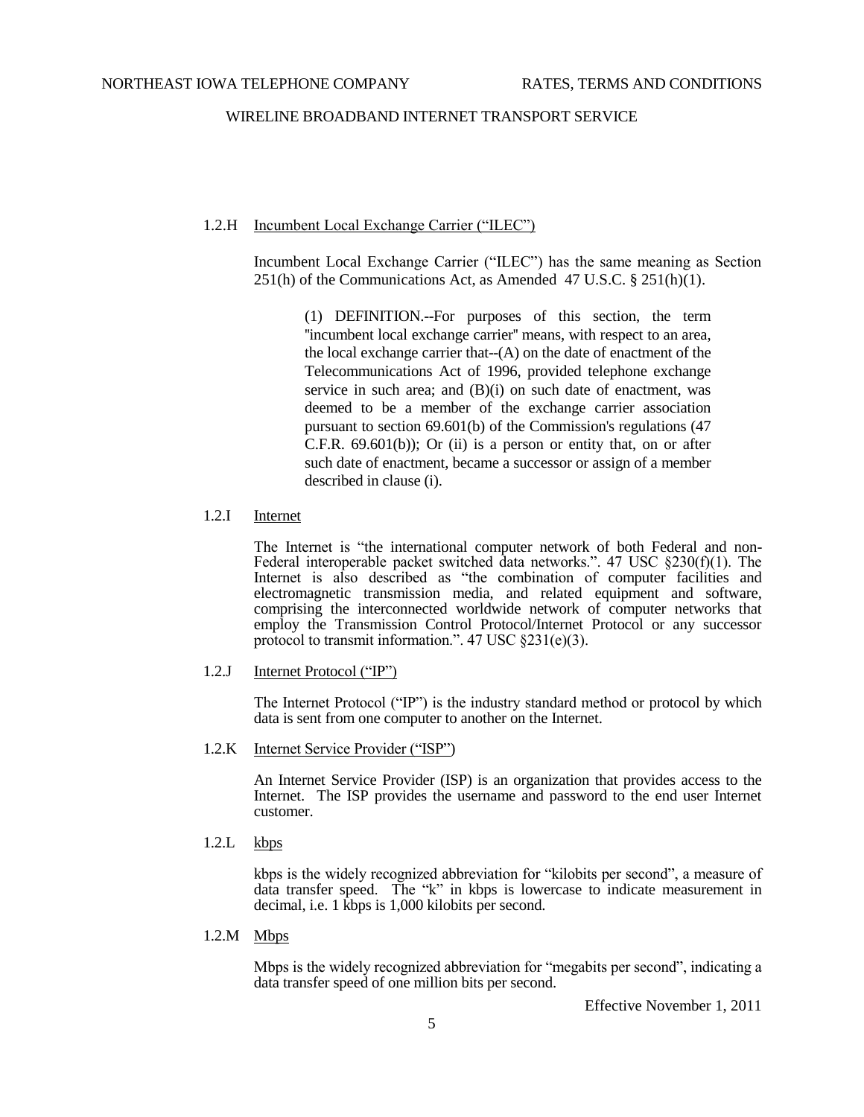# 1.2.H Incumbent Local Exchange Carrier ("ILEC")

Incumbent Local Exchange Carrier ("ILEC") has the same meaning as Section 251(h) of the Communications Act, as Amended 47 U.S.C. § 251(h)(1).

(1) DEFINITION.--For purposes of this section, the term ''incumbent local exchange carrier'' means, with respect to an area, the local exchange carrier that- $(A)$  on the date of enactment of the Telecommunications Act of 1996, provided telephone exchange service in such area; and (B)(i) on such date of enactment, was deemed to be a member of the exchange carrier association pursuant to section 69.601(b) of the Commission's regulations (47  $C.F.R.$  69.601(b)); Or (ii) is a person or entity that, on or after such date of enactment, became a successor or assign of a member described in clause (i).

## 1.2.I Internet

The Internet is "the international computer network of both Federal and non-Federal interoperable packet switched data networks.". 47 USC §230(f)(1). The Internet is also described as "the combination of computer facilities and electromagnetic transmission media, and related equipment and software, comprising the interconnected worldwide network of computer networks that employ the Transmission Control Protocol/Internet Protocol or any successor protocol to transmit information.". 47 USC §231(e)(3).

1.2.J Internet Protocol ("IP")

The Internet Protocol ("IP") is the industry standard method or [protocol](http://searchnetworking.techtarget.com/sDefinition/0,,sid7_gci212839,00.html) by which [data](http://searchdatamanagement.techtarget.com/sDefinition/0,,sid91_gci211894,00.html) is sent from one computer to another on the [Internet.](http://searchvb.techtarget.com/sDefinition/0,,sid8_gci212370,00.html)

1.2.K Internet Service Provider ("ISP")

An Internet Service Provider (ISP) is an organization that provides access to the Internet. The ISP provides the username and password to the end user Internet customer.

1.2.L kbps

kbps is the widely recognized abbreviation for "kilobits per second", a measure of data transfer speed. The "k" in kbps is lowercase to indicate measurement in decimal, i.e. 1 kbps is 1,000 kilobits per second.

1.2.M Mbps

Mbps is the widely recognized abbreviation for "megabits per second", indicating a data transfer speed of one million bits per second.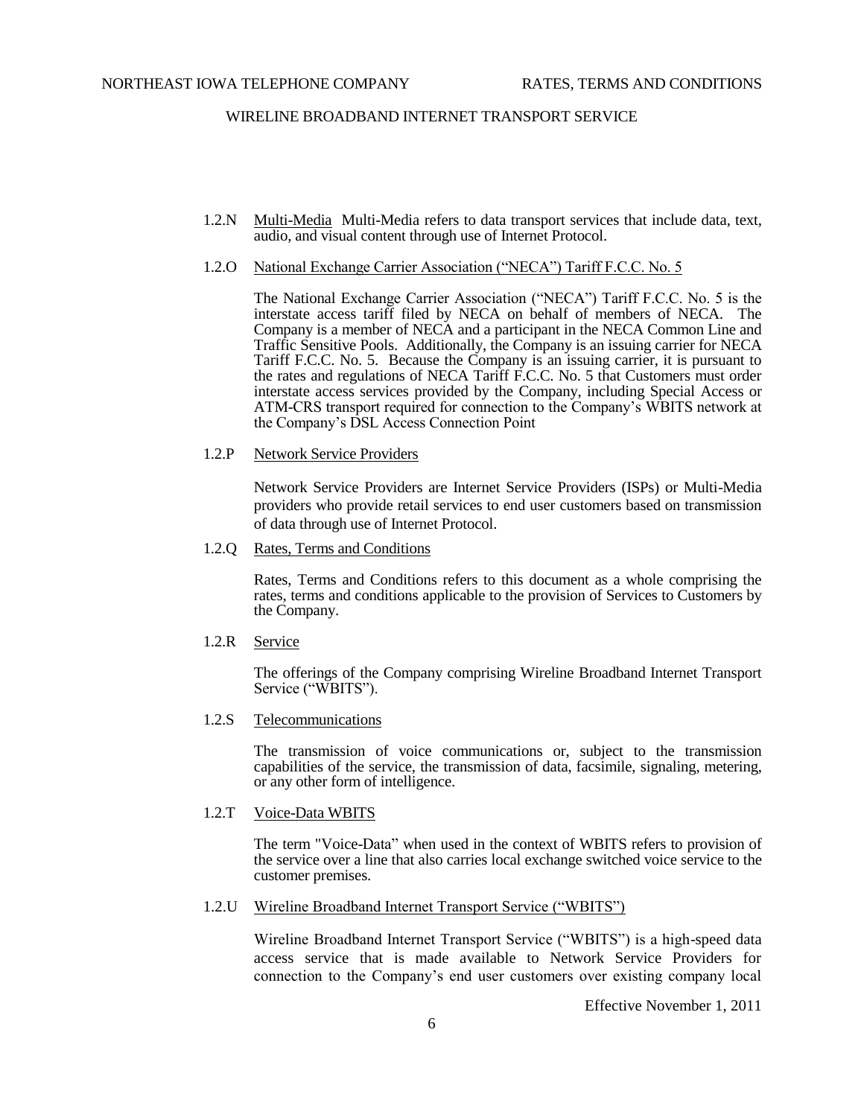- 1.2.N Multi-Media Multi-Media refers to data transport services that include data, text, audio, and visual content through use of Internet Protocol.
- 1.2.O National Exchange Carrier Association ("NECA") Tariff F.C.C. No. 5

The National Exchange Carrier Association ("NECA") Tariff F.C.C. No. 5 is the interstate access tariff filed by NECA on behalf of members of NECA. The Company is a member of NECA and a participant in the NECA Common Line and Traffic Sensitive Pools. Additionally, the Company is an issuing carrier for NECA Tariff F.C.C. No. 5. Because the Company is an issuing carrier, it is pursuant to the rates and regulations of NECA Tariff F.C.C. No. 5 that Customers must order interstate access services provided by the Company, including Special Access or ATM-CRS transport required for connection to the Company's WBITS network at the Company's DSL Access Connection Point

1.2.P Network Service Providers

Network Service Providers are Internet Service Providers (ISPs) or Multi-Media providers who provide retail services to end user customers based on transmission of data through use of Internet Protocol.

1.2.Q Rates, Terms and Conditions

Rates, Terms and Conditions refers to this document as a whole comprising the rates, terms and conditions applicable to the provision of Services to Customers by the Company.

1.2.R Service

The offerings of the Company comprising Wireline Broadband Internet Transport Service ("WBITS").

1.2.S Telecommunications

The transmission of voice communications or, subject to the transmission capabilities of the service, the transmission of data, facsimile, signaling, metering, or any other form of intelligence.

1.2.T Voice-Data WBITS

The term "Voice-Data" when used in the context of WBITS refers to provision of the service over a line that also carries local exchange switched voice service to the customer premises.

1.2.U Wireline Broadband Internet Transport Service ("WBITS")

Wireline Broadband Internet Transport Service ("WBITS") is a high-speed data access service that is made available to Network Service Providers for connection to the Company's end user customers over existing company local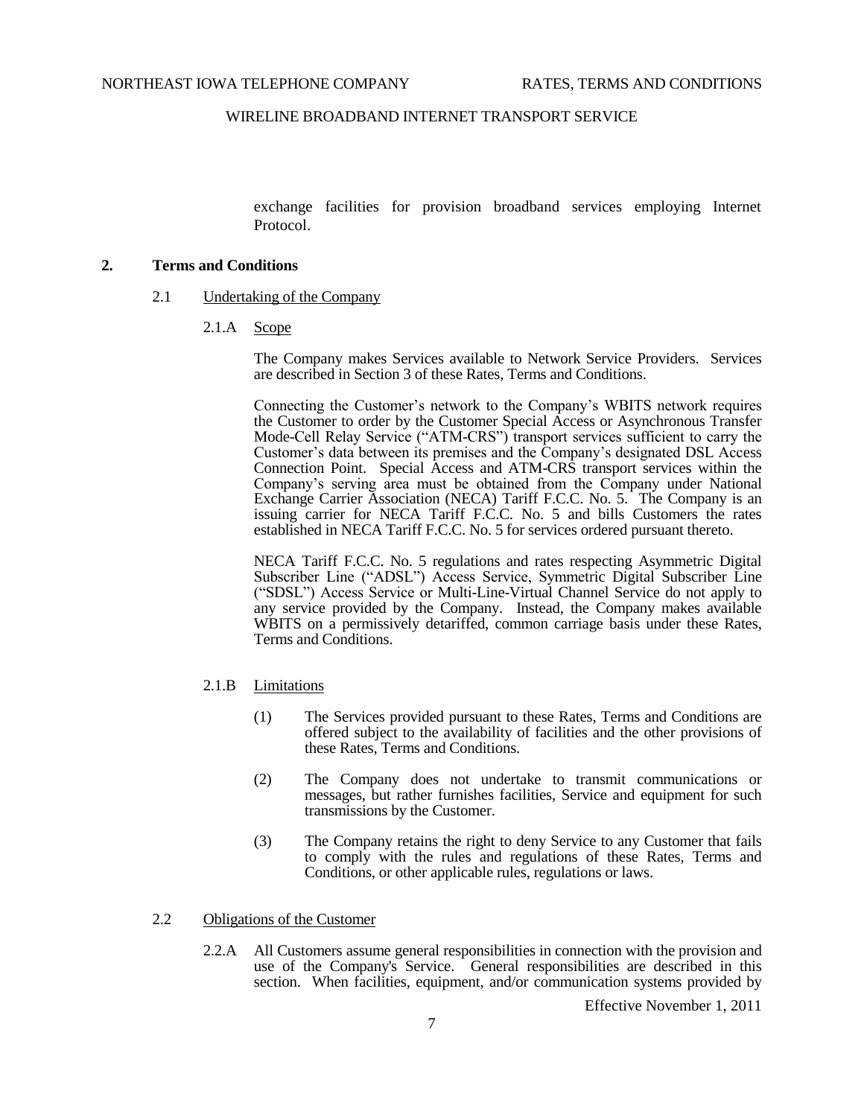exchange facilities for provision broadband services employing Internet Protocol.

# **2. Terms and Conditions**

- 2.1 Undertaking of the Company
	- 2.1.A Scope

The Company makes Services available to Network Service Providers. Services are described in Section 3 of these Rates, Terms and Conditions.

Connecting the Customer's network to the Company's WBITS network requires the Customer to order by the Customer Special Access or Asynchronous Transfer Mode-Cell Relay Service ("ATM-CRS") transport services sufficient to carry the Customer's data between its premises and the Company's designated DSL Access Connection Point. Special Access and ATM-CRS transport services within the Company's serving area must be obtained from the Company under National Exchange Carrier Association (NECA) Tariff F.C.C. No. 5. The Company is an issuing carrier for NECA Tariff F.C.C. No. 5 and bills Customers the rates established in NECA Tariff F.C.C. No. 5 for services ordered pursuant thereto.

NECA Tariff F.C.C. No. 5 regulations and rates respecting Asymmetric Digital Subscriber Line ("ADSL") Access Service, Symmetric Digital Subscriber Line ("SDSL") Access Service or Multi-Line-Virtual Channel Service do not apply to any service provided by the Company. Instead, the Company makes available WBITS on a permissively detariffed, common carriage basis under these Rates, Terms and Conditions.

## 2.1.B Limitations

- (1) The Services provided pursuant to these Rates, Terms and Conditions are offered subject to the availability of facilities and the other provisions of these Rates, Terms and Conditions.
- (2) The Company does not undertake to transmit communications or messages, but rather furnishes facilities, Service and equipment for such transmissions by the Customer.
- (3) The Company retains the right to deny Service to any Customer that fails to comply with the rules and regulations of these Rates, Terms and Conditions, or other applicable rules, regulations or laws.

#### 2.2 Obligations of the Customer

2.2.A All Customers assume general responsibilities in connection with the provision and use of the Company's Service. General responsibilities are described in this section. When facilities, equipment, and/or communication systems provided by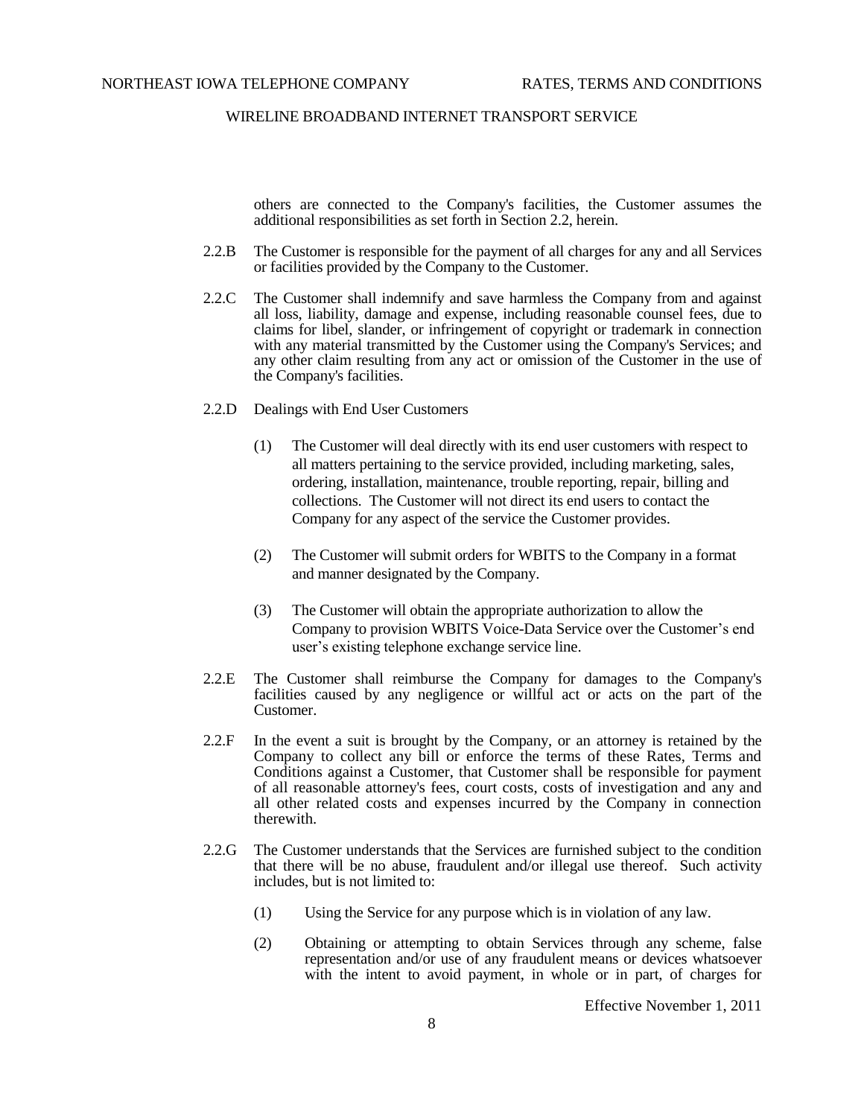others are connected to the Company's facilities, the Customer assumes the additional responsibilities as set forth in Section 2.2, herein.

- 2.2.B The Customer is responsible for the payment of all charges for any and all Services or facilities provided by the Company to the Customer.
- 2.2.C The Customer shall indemnify and save harmless the Company from and against all loss, liability, damage and expense, including reasonable counsel fees, due to claims for libel, slander, or infringement of copyright or trademark in connection with any material transmitted by the Customer using the Company's Services; and any other claim resulting from any act or omission of the Customer in the use of the Company's facilities.
- 2.2.D Dealings with End User Customers
	- (1) The Customer will deal directly with its end user customers with respect to all matters pertaining to the service provided, including marketing, sales, ordering, installation, maintenance, trouble reporting, repair, billing and collections. The Customer will not direct its end users to contact the Company for any aspect of the service the Customer provides.
	- (2) The Customer will submit orders for WBITS to the Company in a format and manner designated by the Company.
	- (3) The Customer will obtain the appropriate authorization to allow the Company to provision WBITS Voice-Data Service over the Customer's end user's existing telephone exchange service line.
- 2.2.E The Customer shall reimburse the Company for damages to the Company's facilities caused by any negligence or willful act or acts on the part of the Customer.
- 2.2.F In the event a suit is brought by the Company, or an attorney is retained by the Company to collect any bill or enforce the terms of these Rates, Terms and Conditions against a Customer, that Customer shall be responsible for payment of all reasonable attorney's fees, court costs, costs of investigation and any and all other related costs and expenses incurred by the Company in connection therewith.
- 2.2.G The Customer understands that the Services are furnished subject to the condition that there will be no abuse, fraudulent and/or illegal use thereof. Such activity includes, but is not limited to:
	- (1) Using the Service for any purpose which is in violation of any law.
	- (2) Obtaining or attempting to obtain Services through any scheme, false representation and/or use of any fraudulent means or devices whatsoever with the intent to avoid payment, in whole or in part, of charges for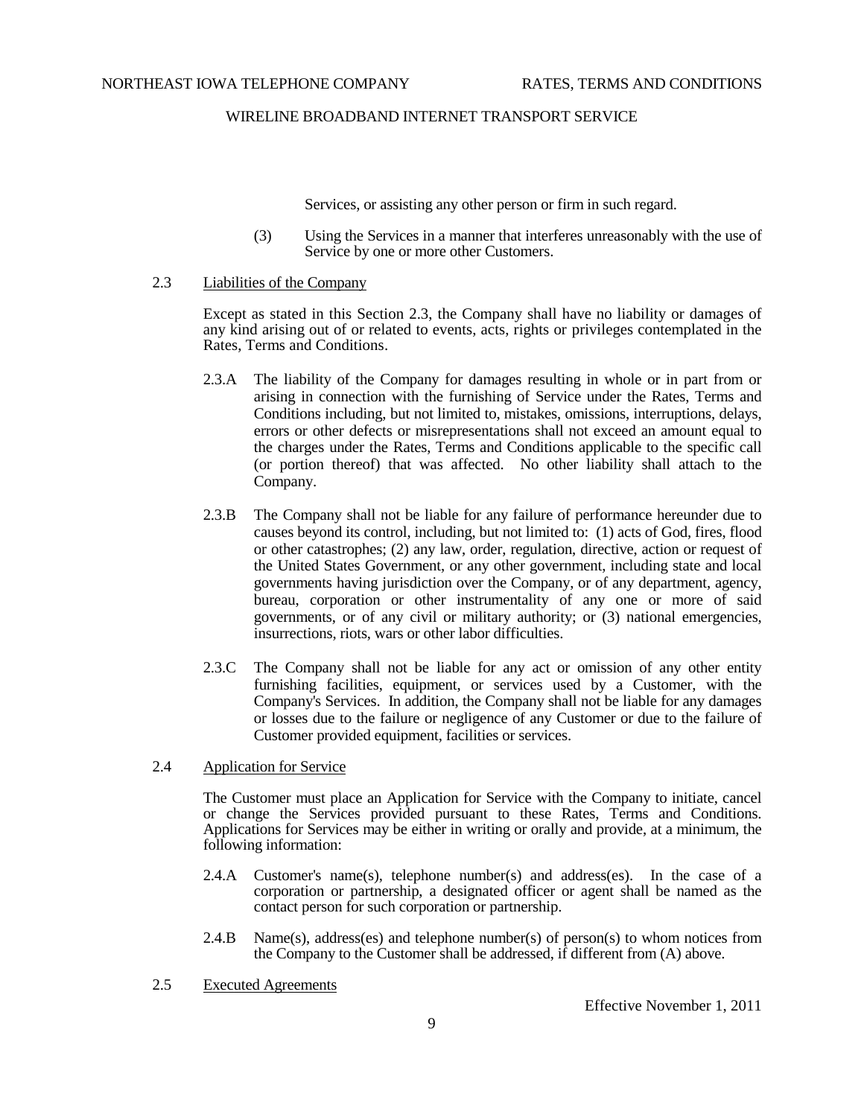Services, or assisting any other person or firm in such regard.

- (3) Using the Services in a manner that interferes unreasonably with the use of Service by one or more other Customers.
- 2.3 Liabilities of the Company

Except as stated in this Section 2.3, the Company shall have no liability or damages of any kind arising out of or related to events, acts, rights or privileges contemplated in the Rates, Terms and Conditions.

- 2.3.A The liability of the Company for damages resulting in whole or in part from or arising in connection with the furnishing of Service under the Rates, Terms and Conditions including, but not limited to, mistakes, omissions, interruptions, delays, errors or other defects or misrepresentations shall not exceed an amount equal to the charges under the Rates, Terms and Conditions applicable to the specific call (or portion thereof) that was affected. No other liability shall attach to the Company.
- 2.3.B The Company shall not be liable for any failure of performance hereunder due to causes beyond its control, including, but not limited to: (1) acts of God, fires, flood or other catastrophes; (2) any law, order, regulation, directive, action or request of the United States Government, or any other government, including state and local governments having jurisdiction over the Company, or of any department, agency, bureau, corporation or other instrumentality of any one or more of said governments, or of any civil or military authority; or (3) national emergencies, insurrections, riots, wars or other labor difficulties.
- 2.3.C The Company shall not be liable for any act or omission of any other entity furnishing facilities, equipment, or services used by a Customer, with the Company's Services. In addition, the Company shall not be liable for any damages or losses due to the failure or negligence of any Customer or due to the failure of Customer provided equipment, facilities or services.
- 2.4 Application for Service

The Customer must place an Application for Service with the Company to initiate, cancel or change the Services provided pursuant to these Rates, Terms and Conditions. Applications for Services may be either in writing or orally and provide, at a minimum, the following information:

- 2.4.A Customer's name(s), telephone number(s) and address(es). In the case of a corporation or partnership, a designated officer or agent shall be named as the contact person for such corporation or partnership.
- 2.4.B Name(s), address(es) and telephone number(s) of person(s) to whom notices from the Company to the Customer shall be addressed, if different from (A) above.
- 2.5 Executed Agreements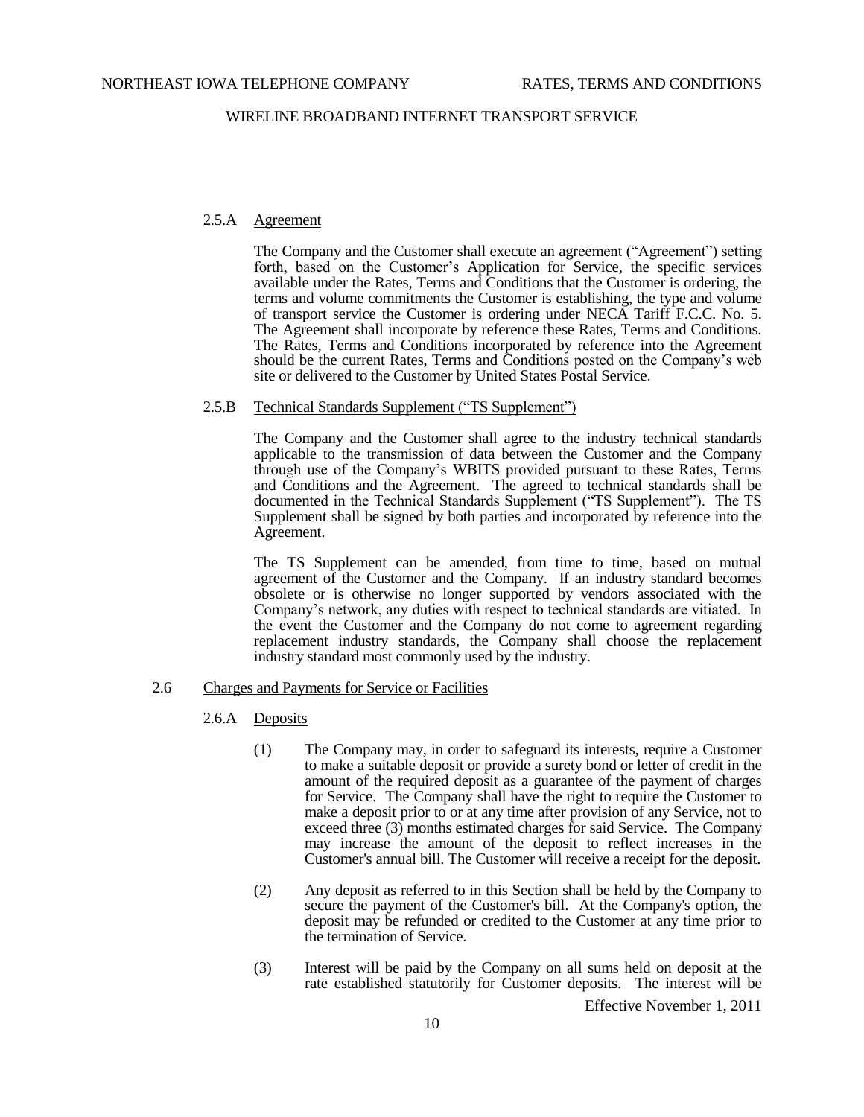# 2.5.A Agreement

The Company and the Customer shall execute an agreement ("Agreement") setting forth, based on the Customer's Application for Service, the specific services available under the Rates, Terms and Conditions that the Customer is ordering, the terms and volume commitments the Customer is establishing, the type and volume of transport service the Customer is ordering under NECA Tariff F.C.C. No. 5. The Agreement shall incorporate by reference these Rates, Terms and Conditions. The Rates, Terms and Conditions incorporated by reference into the Agreement should be the current Rates, Terms and Conditions posted on the Company's web site or delivered to the Customer by United States Postal Service.

#### 2.5.B Technical Standards Supplement ("TS Supplement")

The Company and the Customer shall agree to the industry technical standards applicable to the transmission of data between the Customer and the Company through use of the Company's WBITS provided pursuant to these Rates, Terms and Conditions and the Agreement. The agreed to technical standards shall be documented in the Technical Standards Supplement ("TS Supplement"). The TS Supplement shall be signed by both parties and incorporated by reference into the Agreement.

The TS Supplement can be amended, from time to time, based on mutual agreement of the Customer and the Company. If an industry standard becomes obsolete or is otherwise no longer supported by vendors associated with the Company's network, any duties with respect to technical standards are vitiated. In the event the Customer and the Company do not come to agreement regarding replacement industry standards, the Company shall choose the replacement industry standard most commonly used by the industry.

#### 2.6 Charges and Payments for Service or Facilities

- 2.6.A Deposits
	- (1) The Company may, in order to safeguard its interests, require a Customer to make a suitable deposit or provide a surety bond or letter of credit in the amount of the required deposit as a guarantee of the payment of charges for Service. The Company shall have the right to require the Customer to make a deposit prior to or at any time after provision of any Service, not to exceed three (3) months estimated charges for said Service. The Company may increase the amount of the deposit to reflect increases in the Customer's annual bill. The Customer will receive a receipt for the deposit.
	- (2) Any deposit as referred to in this Section shall be held by the Company to secure the payment of the Customer's bill. At the Company's option, the deposit may be refunded or credited to the Customer at any time prior to the termination of Service.
	- (3) Interest will be paid by the Company on all sums held on deposit at the rate established statutorily for Customer deposits. The interest will be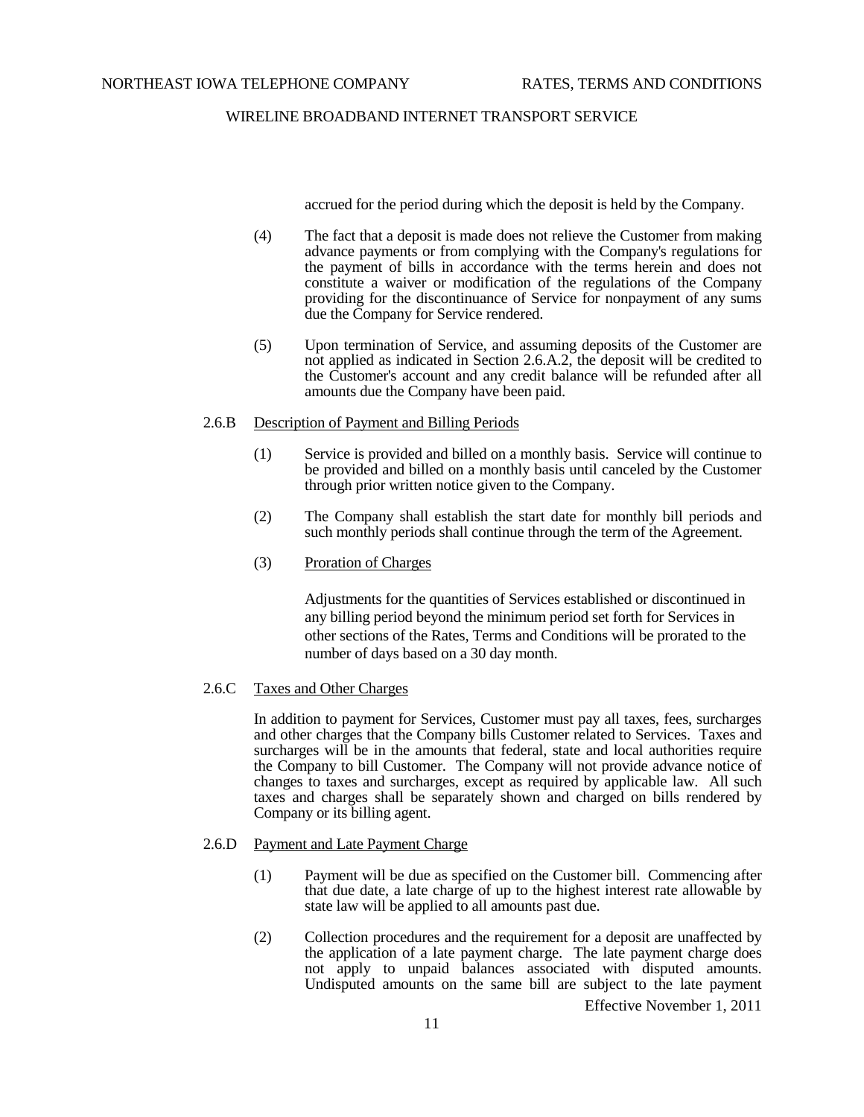accrued for the period during which the deposit is held by the Company.

- (4) The fact that a deposit is made does not relieve the Customer from making advance payments or from complying with the Company's regulations for the payment of bills in accordance with the terms herein and does not constitute a waiver or modification of the regulations of the Company providing for the discontinuance of Service for nonpayment of any sums due the Company for Service rendered.
- (5) Upon termination of Service, and assuming deposits of the Customer are not applied as indicated in Section 2.6.A.2, the deposit will be credited to the Customer's account and any credit balance will be refunded after all amounts due the Company have been paid.

### 2.6.B Description of Payment and Billing Periods

- (1) Service is provided and billed on a monthly basis. Service will continue to be provided and billed on a monthly basis until canceled by the Customer through prior written notice given to the Company.
- (2) The Company shall establish the start date for monthly bill periods and such monthly periods shall continue through the term of the Agreement.
- (3) Proration of Charges

Adjustments for the quantities of Services established or discontinued in any billing period beyond the minimum period set forth for Services in other sections of the Rates, Terms and Conditions will be prorated to the number of days based on a 30 day month.

# 2.6.C Taxes and Other Charges

In addition to payment for Services, Customer must pay all taxes, fees, surcharges and other charges that the Company bills Customer related to Services. Taxes and surcharges will be in the amounts that federal, state and local authorities require the Company to bill Customer. The Company will not provide advance notice of changes to taxes and surcharges, except as required by applicable law. All such taxes and charges shall be separately shown and charged on bills rendered by Company or its billing agent.

### 2.6.D Payment and Late Payment Charge

- (1) Payment will be due as specified on the Customer bill. Commencing after that due date, a late charge of up to the highest interest rate allowable by state law will be applied to all amounts past due.
- (2) Collection procedures and the requirement for a deposit are unaffected by the application of a late payment charge. The late payment charge does not apply to unpaid balances associated with disputed amounts. Undisputed amounts on the same bill are subject to the late payment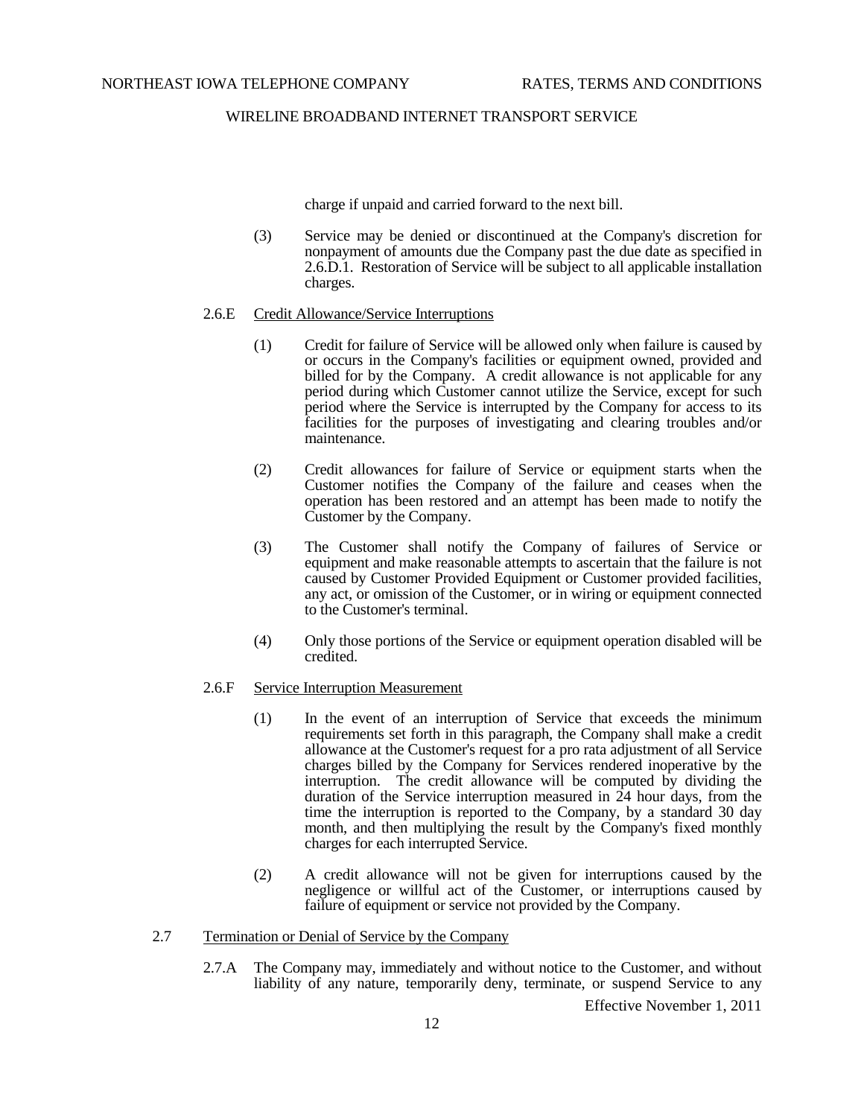charge if unpaid and carried forward to the next bill.

(3) Service may be denied or discontinued at the Company's discretion for nonpayment of amounts due the Company past the due date as specified in 2.6.D.1. Restoration of Service will be subject to all applicable installation charges.

### 2.6.E Credit Allowance/Service Interruptions

- (1) Credit for failure of Service will be allowed only when failure is caused by or occurs in the Company's facilities or equipment owned, provided and billed for by the Company. A credit allowance is not applicable for any period during which Customer cannot utilize the Service, except for such period where the Service is interrupted by the Company for access to its facilities for the purposes of investigating and clearing troubles and/or maintenance.
- (2) Credit allowances for failure of Service or equipment starts when the Customer notifies the Company of the failure and ceases when the operation has been restored and an attempt has been made to notify the Customer by the Company.
- (3) The Customer shall notify the Company of failures of Service or equipment and make reasonable attempts to ascertain that the failure is not caused by Customer Provided Equipment or Customer provided facilities, any act, or omission of the Customer, or in wiring or equipment connected to the Customer's terminal.
- (4) Only those portions of the Service or equipment operation disabled will be credited.

#### 2.6.F Service Interruption Measurement

- (1) In the event of an interruption of Service that exceeds the minimum requirements set forth in this paragraph, the Company shall make a credit allowance at the Customer's request for a pro rata adjustment of all Service charges billed by the Company for Services rendered inoperative by the interruption. The credit allowance will be computed by dividing the duration of the Service interruption measured in 24 hour days, from the time the interruption is reported to the Company, by a standard 30 day month, and then multiplying the result by the Company's fixed monthly charges for each interrupted Service.
- (2) A credit allowance will not be given for interruptions caused by the negligence or willful act of the Customer, or interruptions caused by failure of equipment or service not provided by the Company.

## 2.7 Termination or Denial of Service by the Company

2.7.A The Company may, immediately and without notice to the Customer, and without liability of any nature, temporarily deny, terminate, or suspend Service to any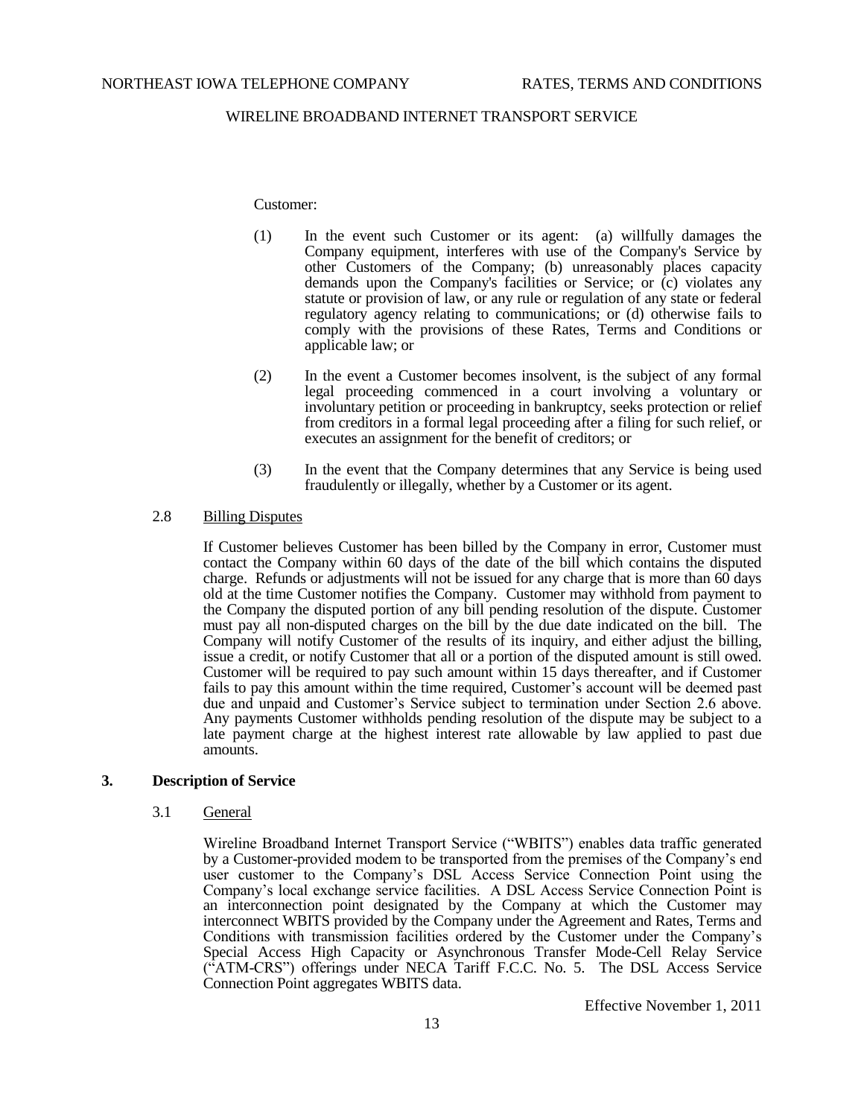#### Customer:

- (1) In the event such Customer or its agent: (a) willfully damages the Company equipment, interferes with use of the Company's Service by other Customers of the Company; (b) unreasonably places capacity demands upon the Company's facilities or Service; or (c) violates any statute or provision of law, or any rule or regulation of any state or federal regulatory agency relating to communications; or (d) otherwise fails to comply with the provisions of these Rates, Terms and Conditions or applicable law; or
- (2) In the event a Customer becomes insolvent, is the subject of any formal legal proceeding commenced in a court involving a voluntary or involuntary petition or proceeding in bankruptcy, seeks protection or relief from creditors in a formal legal proceeding after a filing for such relief, or executes an assignment for the benefit of creditors; or
- (3) In the event that the Company determines that any Service is being used fraudulently or illegally, whether by a Customer or its agent.

## 2.8 Billing Disputes

If Customer believes Customer has been billed by the Company in error, Customer must contact the Company within 60 days of the date of the bill which contains the disputed charge. Refunds or adjustments will not be issued for any charge that is more than 60 days old at the time Customer notifies the Company. Customer may withhold from payment to the Company the disputed portion of any bill pending resolution of the dispute. Customer must pay all non-disputed charges on the bill by the due date indicated on the bill. The Company will notify Customer of the results of its inquiry, and either adjust the billing, issue a credit, or notify Customer that all or a portion of the disputed amount is still owed. Customer will be required to pay such amount within 15 days thereafter, and if Customer fails to pay this amount within the time required, Customer's account will be deemed past due and unpaid and Customer's Service subject to termination under Section 2.6 above. Any payments Customer withholds pending resolution of the dispute may be subject to a late payment charge at the highest interest rate allowable by law applied to past due amounts.

### **3. Description of Service**

## 3.1 General

Wireline Broadband Internet Transport Service ("WBITS") enables data traffic generated by a Customer-provided modem to be transported from the premises of the Company's end user customer to the Company's DSL Access Service Connection Point using the Company's local exchange service facilities. A DSL Access Service Connection Point is an interconnection point designated by the Company at which the Customer may interconnect WBITS provided by the Company under the Agreement and Rates, Terms and Conditions with transmission facilities ordered by the Customer under the Company's Special Access High Capacity or Asynchronous Transfer Mode-Cell Relay Service ("ATM-CRS") offerings under NECA Tariff F.C.C. No. 5. The DSL Access Service Connection Point aggregates WBITS data.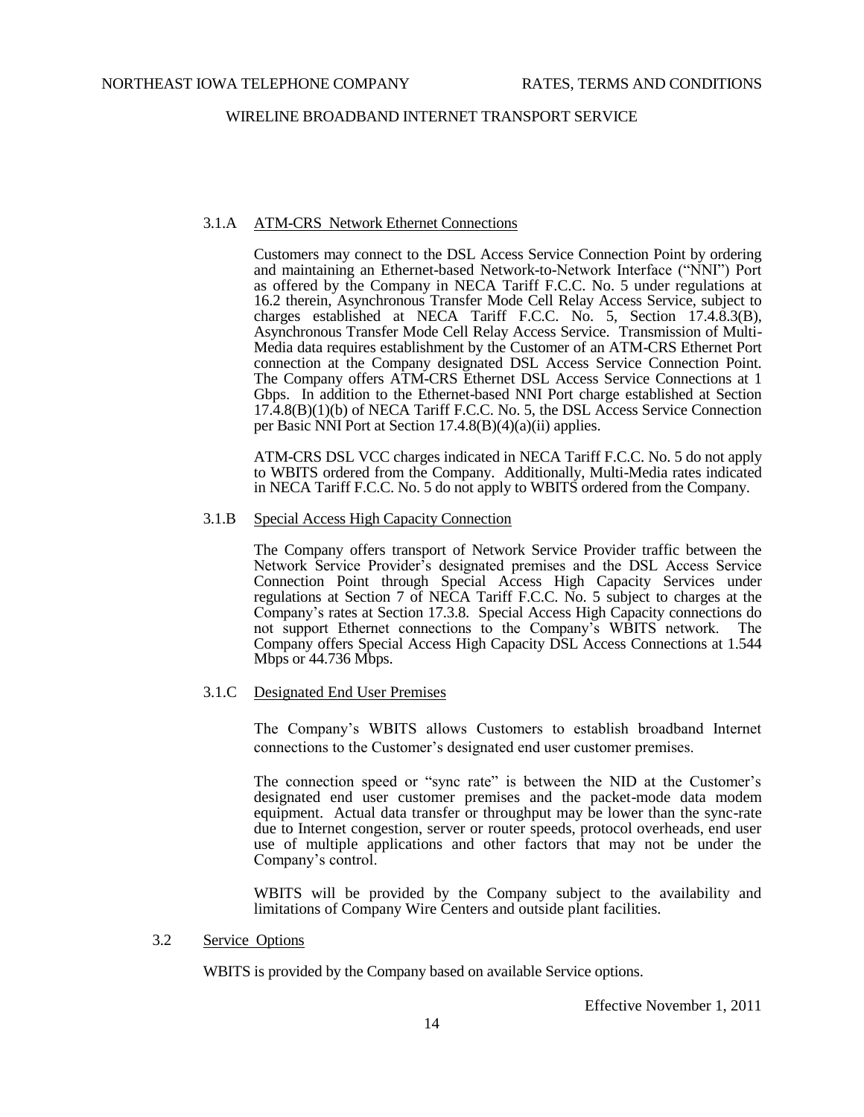### 3.1.A ATM-CRS Network Ethernet Connections

Customers may connect to the DSL Access Service Connection Point by ordering and maintaining an Ethernet-based Network-to-Network Interface ("NNI") Port as offered by the Company in NECA Tariff F.C.C. No. 5 under regulations at 16.2 therein, Asynchronous Transfer Mode Cell Relay Access Service, subject to charges established at NECA Tariff F.C.C. No. 5, Section 17.4.8.3(B), Asynchronous Transfer Mode Cell Relay Access Service. Transmission of Multi-Media data requires establishment by the Customer of an ATM-CRS Ethernet Port connection at the Company designated DSL Access Service Connection Point. The Company offers ATM-CRS Ethernet DSL Access Service Connections at 1 Gbps. In addition to the Ethernet-based NNI Port charge established at Section 17.4.8(B)(1)(b) of NECA Tariff F.C.C. No. 5, the DSL Access Service Connection per Basic NNI Port at Section 17.4.8(B)(4)(a)(ii) applies.

ATM-CRS DSL VCC charges indicated in NECA Tariff F.C.C. No. 5 do not apply to WBITS ordered from the Company. Additionally, Multi-Media rates indicated in NECA Tariff F.C.C. No. 5 do not apply to WBITS ordered from the Company.

### 3.1.B Special Access High Capacity Connection

The Company offers transport of Network Service Provider traffic between the Network Service Provider's designated premises and the DSL Access Service Connection Point through Special Access High Capacity Services under regulations at Section 7 of NECA Tariff F.C.C. No. 5 subject to charges at the Company's rates at Section 17.3.8. Special Access High Capacity connections do not support Ethernet connections to the Company's WBITS network. The Company offers Special Access High Capacity DSL Access Connections at 1.544 Mbps or 44.736 Mbps.

# 3.1.C Designated End User Premises

The Company's WBITS allows Customers to establish broadband Internet connections to the Customer's designated end user customer premises.

The connection speed or "sync rate" is between the NID at the Customer's designated end user customer premises and the packet-mode data modem equipment. Actual data transfer or throughput may be lower than the sync-rate due to Internet congestion, server or router speeds, protocol overheads, end user use of multiple applications and other factors that may not be under the Company's control.

WBITS will be provided by the Company subject to the availability and limitations of Company Wire Centers and outside plant facilities.

### 3.2 Service Options

WBITS is provided by the Company based on available Service options.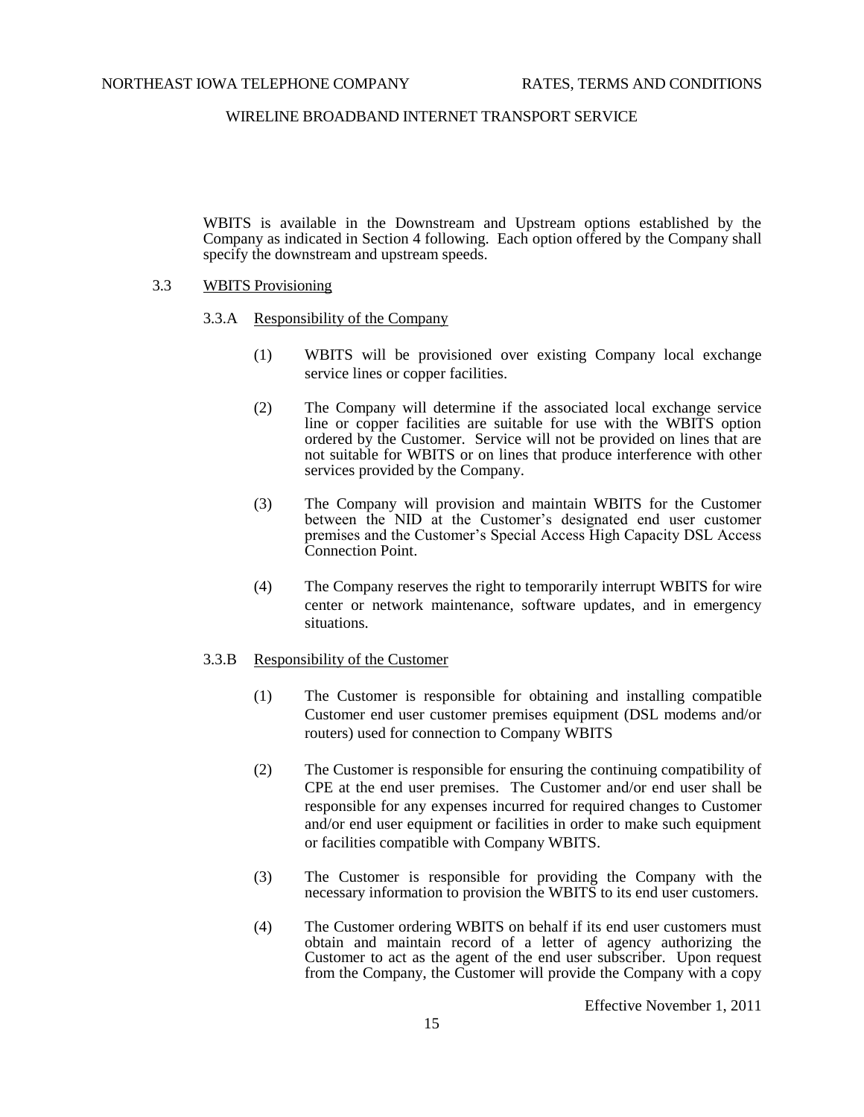WBITS is available in the Downstream and Upstream options established by the Company as indicated in Section 4 following. Each option offered by the Company shall specify the downstream and upstream speeds.

- 3.3 WBITS Provisioning
	- 3.3.A Responsibility of the Company
		- (1) WBITS will be provisioned over existing Company local exchange service lines or copper facilities.
		- (2) The Company will determine if the associated local exchange service line or copper facilities are suitable for use with the WBITS option ordered by the Customer. Service will not be provided on lines that are not suitable for WBITS or on lines that produce interference with other services provided by the Company.
		- (3) The Company will provision and maintain WBITS for the Customer between the NID at the Customer's designated end user customer premises and the Customer's Special Access High Capacity DSL Access Connection Point.
		- (4) The Company reserves the right to temporarily interrupt WBITS for wire center or network maintenance, software updates, and in emergency situations.

# 3.3.B Responsibility of the Customer

- (1) The Customer is responsible for obtaining and installing compatible Customer end user customer premises equipment (DSL modems and/or routers) used for connection to Company WBITS
- (2) The Customer is responsible for ensuring the continuing compatibility of CPE at the end user premises. The Customer and/or end user shall be responsible for any expenses incurred for required changes to Customer and/or end user equipment or facilities in order to make such equipment or facilities compatible with Company WBITS.
- (3) The Customer is responsible for providing the Company with the necessary information to provision the WBITS to its end user customers.
- (4) The Customer ordering WBITS on behalf if its end user customers must obtain and maintain record of a letter of agency authorizing the Customer to act as the agent of the end user subscriber. Upon request from the Company, the Customer will provide the Company with a copy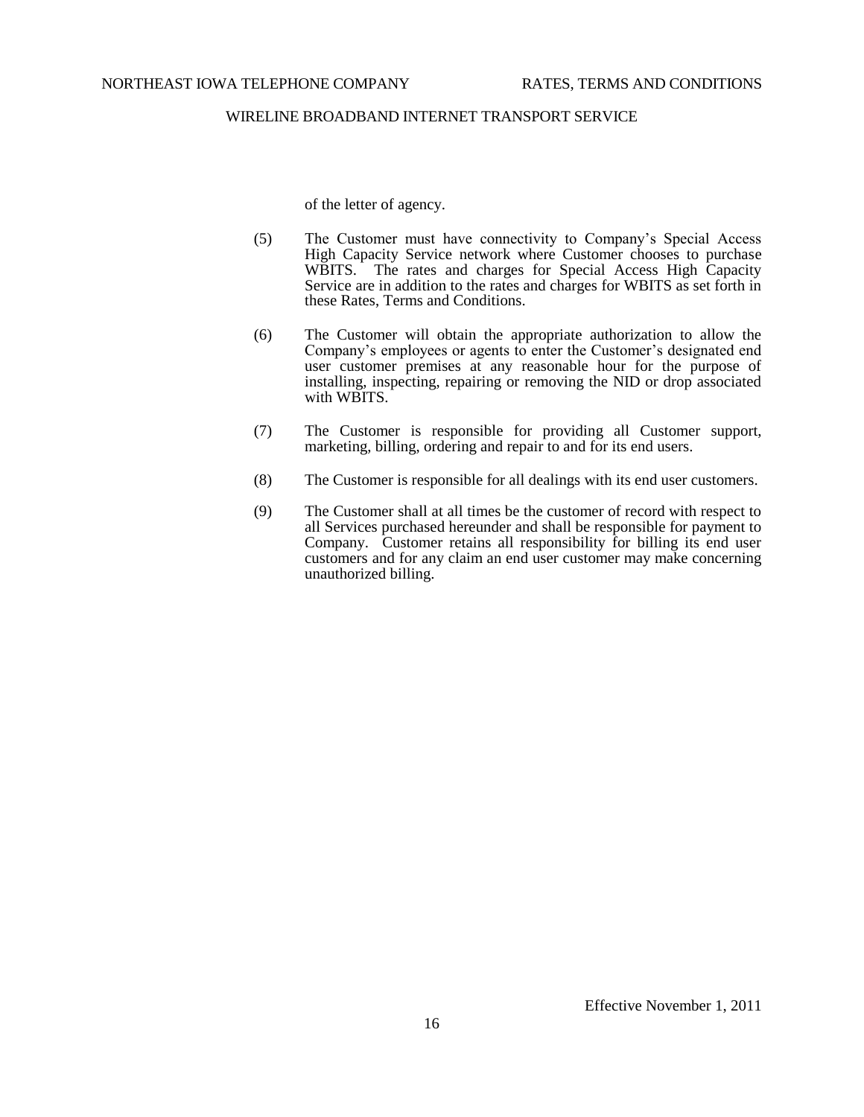of the letter of agency.

- (5) The Customer must have connectivity to Company's Special Access High Capacity Service network where Customer chooses to purchase WBITS. The rates and charges for Special Access High Capacity Service are in addition to the rates and charges for WBITS as set forth in these Rates, Terms and Conditions.
- (6) The Customer will obtain the appropriate authorization to allow the Company's employees or agents to enter the Customer's designated end user customer premises at any reasonable hour for the purpose of installing, inspecting, repairing or removing the NID or drop associated with WBITS.
- (7) The Customer is responsible for providing all Customer support, marketing, billing, ordering and repair to and for its end users.
- (8) The Customer is responsible for all dealings with its end user customers.
- (9) The Customer shall at all times be the customer of record with respect to all Services purchased hereunder and shall be responsible for payment to Company. Customer retains all responsibility for billing its end user customers and for any claim an end user customer may make concerning unauthorized billing.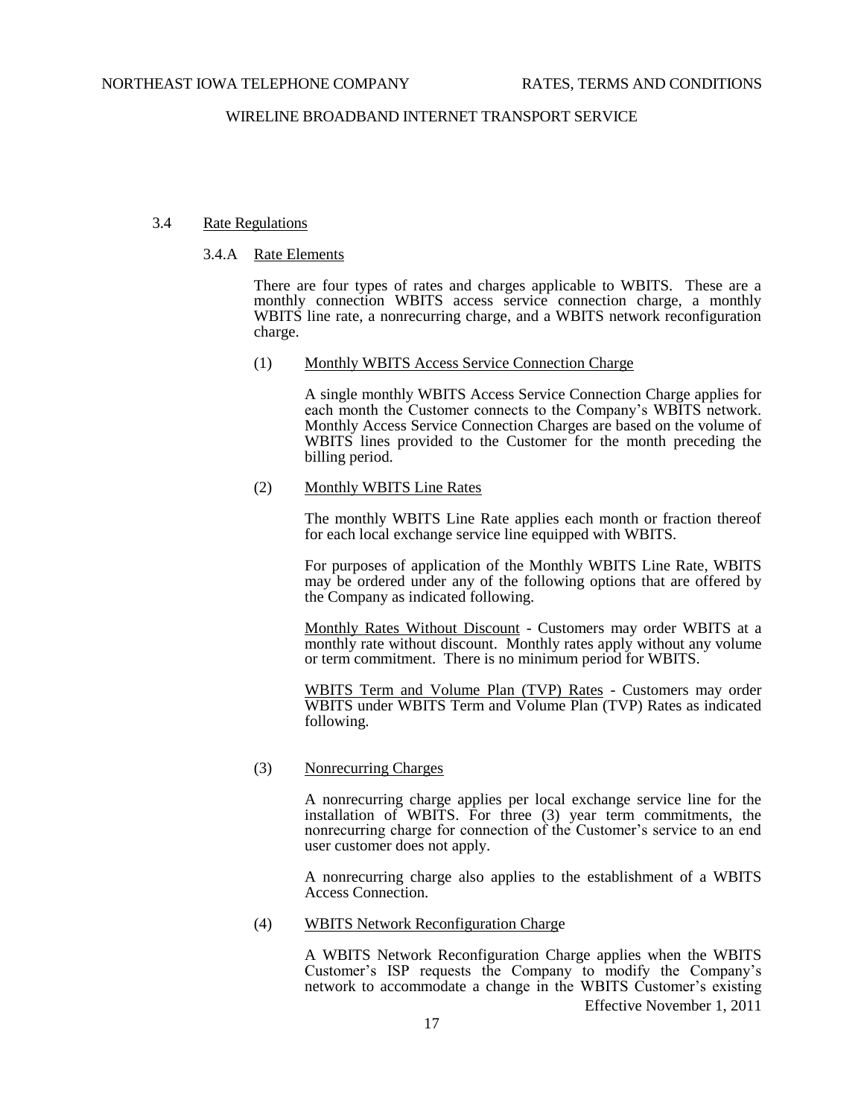## 3.4 Rate Regulations

### 3.4.A Rate Elements

There are four types of rates and charges applicable to WBITS. These are a monthly connection WBITS access service connection charge, a monthly WBITS line rate, a nonrecurring charge, and a WBITS network reconfiguration charge.

### (1) Monthly WBITS Access Service Connection Charge

A single monthly WBITS Access Service Connection Charge applies for each month the Customer connects to the Company's WBITS network. Monthly Access Service Connection Charges are based on the volume of WBITS lines provided to the Customer for the month preceding the billing period.

## (2) Monthly WBITS Line Rates

The monthly WBITS Line Rate applies each month or fraction thereof for each local exchange service line equipped with WBITS.

For purposes of application of the Monthly WBITS Line Rate, WBITS may be ordered under any of the following options that are offered by the Company as indicated following.

Monthly Rates Without Discount - Customers may order WBITS at a monthly rate without discount. Monthly rates apply without any volume or term commitment. There is no minimum period for WBITS.

WBITS Term and Volume Plan (TVP) Rates - Customers may order WBITS under WBITS Term and Volume Plan (TVP) Rates as indicated following.

# (3) Nonrecurring Charges

A nonrecurring charge applies per local exchange service line for the installation of WBITS. For three (3) year term commitments, the nonrecurring charge for connection of the Customer's service to an end user customer does not apply.

A nonrecurring charge also applies to the establishment of a WBITS Access Connection.

(4) WBITS Network Reconfiguration Charge

Effective November 1, 2011 A WBITS Network Reconfiguration Charge applies when the WBITS Customer's ISP requests the Company to modify the Company's network to accommodate a change in the WBITS Customer's existing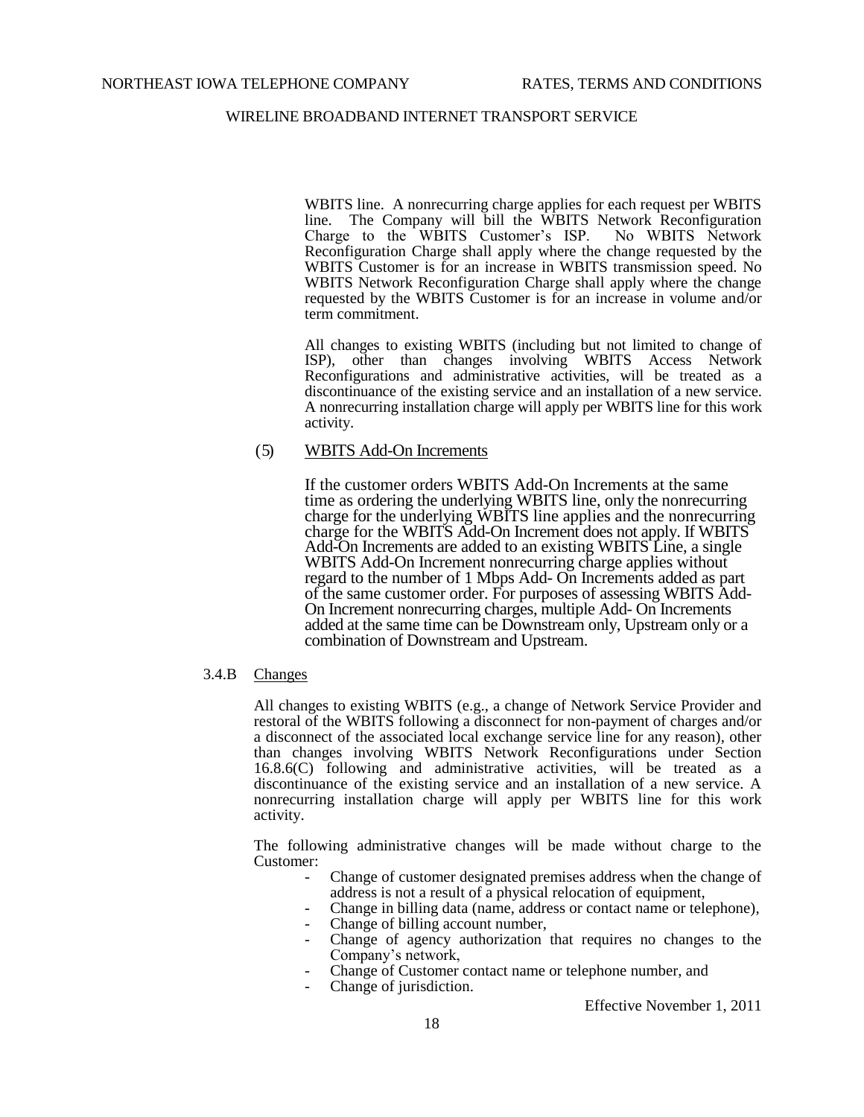WBITS line. A nonrecurring charge applies for each request per WBITS line. The Company will bill the WBITS Network Reconfiguration Charge to the WBITS Customer's ISP. No WBITS Network Charge to the WBITS Customer's ISP. Reconfiguration Charge shall apply where the change requested by the WBITS Customer is for an increase in WBITS transmission speed. No WBITS Network Reconfiguration Charge shall apply where the change requested by the WBITS Customer is for an increase in volume and/or term commitment.

All changes to existing WBITS (including but not limited to change of ISP), other than changes involving WBITS Access Network Reconfigurations and administrative activities, will be treated as a discontinuance of the existing service and an installation of a new service. A nonrecurring installation charge will apply per WBITS line for this work activity.

# ( 5) WBITS Add-On Increments

If the customer orders WBITS Add-On Increments at the same time as ordering the underlying WBITS line, only the nonrecurring charge for the underlying WBITS line applies and the nonrecurring charge for the WBITS Add-On Increment does not apply. If WBITS Add-On Increments are added to an existing WBITS Line, a single WBITS Add-On Increment nonrecurring charge applies without regard to the number of 1 Mbps Add- On Increments added as part of the same customer order. For purposes of assessing WBITS Add-On Increment nonrecurring charges, multiple Add- On Increments added at the same time can be Downstream only, Upstream only or a combination of Downstream and Upstream.

## 3.4.B Changes

All changes to existing WBITS (e.g., a change of Network Service Provider and restoral of the WBITS following a disconnect for non-payment of charges and/or a disconnect of the associated local exchange service line for any reason), other than changes involving WBITS Network Reconfigurations under Section 16.8.6(C) following and administrative activities, will be treated as a discontinuance of the existing service and an installation of a new service. A nonrecurring installation charge will apply per WBITS line for this work activity.

The following administrative changes will be made without charge to the Customer:

- Change of customer designated premises address when the change of address is not a result of a physical relocation of equipment,
- Change in billing data (name, address or contact name or telephone),
- Change of billing account number,
- Change of agency authorization that requires no changes to the Company's network,
- Change of Customer contact name or telephone number, and
- Change of jurisdiction.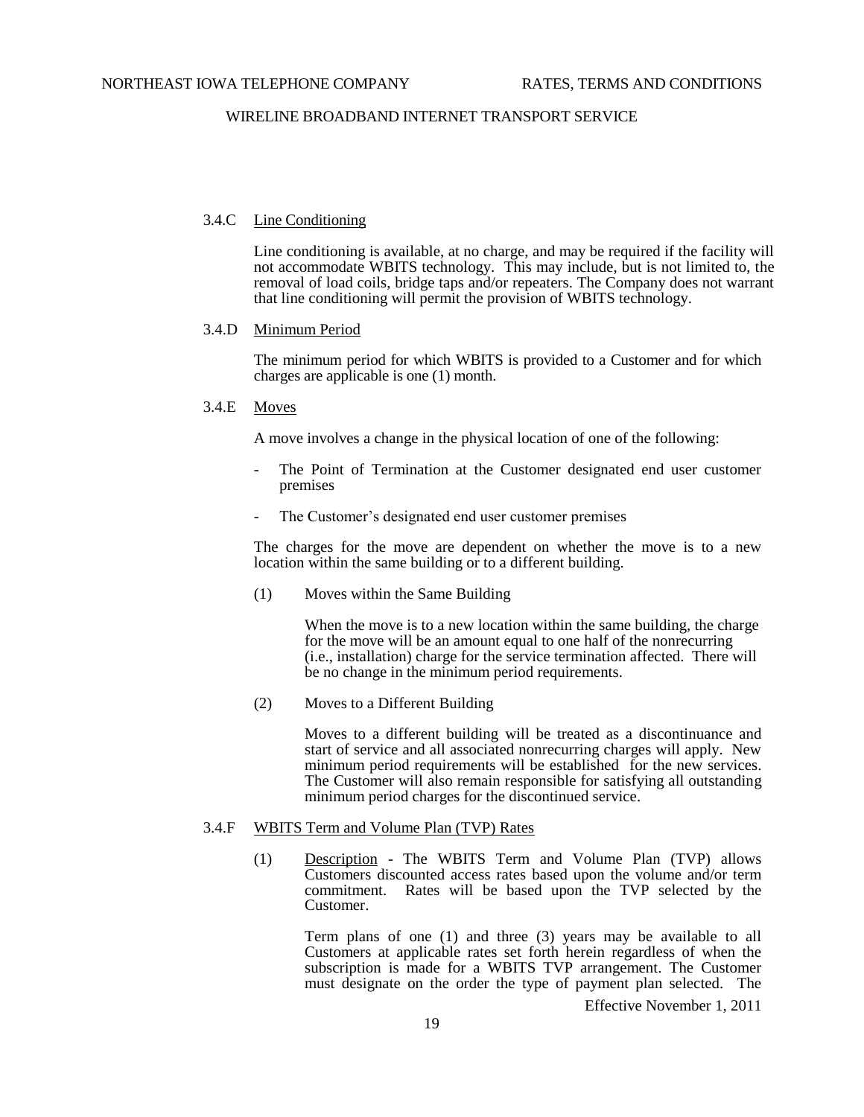### 3.4.C Line Conditioning

Line conditioning is available, at no charge, and may be required if the facility will not accommodate WBITS technology. This may include, but is not limited to, the removal of load coils, bridge taps and/or repeaters. The Company does not warrant that line conditioning will permit the provision of WBITS technology.

#### 3.4.D Minimum Period

The minimum period for which WBITS is provided to a Customer and for which charges are applicable is one (1) month.

### 3.4.E Moves

A move involves a change in the physical location of one of the following:

- The Point of Termination at the Customer designated end user customer premises
- The Customer's designated end user customer premises

The charges for the move are dependent on whether the move is to a new location within the same building or to a different building.

(1) Moves within the Same Building

When the move is to a new location within the same building, the charge for the move will be an amount equal to one half of the nonrecurring (i.e., installation) charge for the service termination affected. There will be no change in the minimum period requirements.

(2) Moves to a Different Building

Moves to a different building will be treated as a discontinuance and start of service and all associated nonrecurring charges will apply. New minimum period requirements will be established for the new services. The Customer will also remain responsible for satisfying all outstanding minimum period charges for the discontinued service.

## 3.4.F WBITS Term and Volume Plan (TVP) Rates

(1) Description - The WBITS Term and Volume Plan (TVP) allows Customers discounted access rates based upon the volume and/or term commitment. Rates will be based upon the TVP selected by the Customer.

Term plans of one (1) and three (3) years may be available to all Customers at applicable rates set forth herein regardless of when the subscription is made for a WBITS TVP arrangement. The Customer must designate on the order the type of payment plan selected. The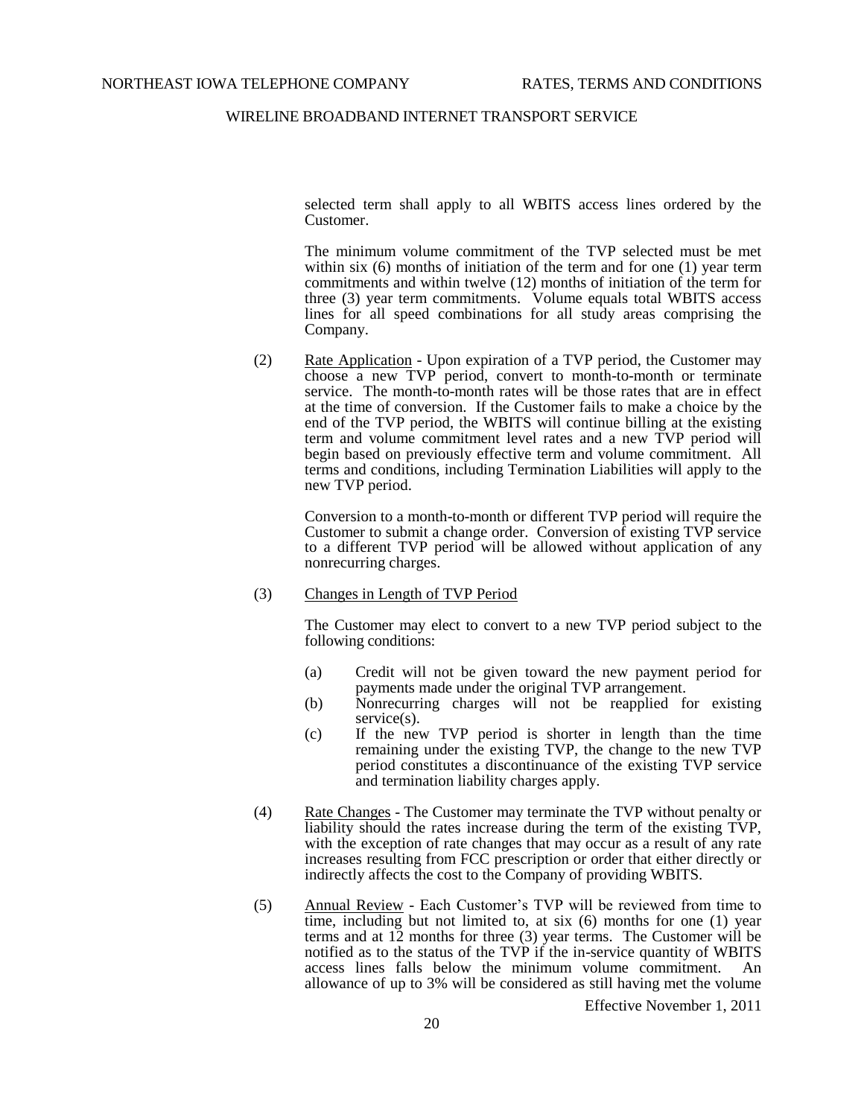selected term shall apply to all WBITS access lines ordered by the Customer.

The minimum volume commitment of the TVP selected must be met within six (6) months of initiation of the term and for one (1) year term commitments and within twelve (12) months of initiation of the term for three (3) year term commitments. Volume equals total WBITS access lines for all speed combinations for all study areas comprising the Company.

(2) Rate Application - Upon expiration of a TVP period, the Customer may choose a new TVP period, convert to month-to-month or terminate service. The month-to-month rates will be those rates that are in effect at the time of conversion. If the Customer fails to make a choice by the end of the TVP period, the WBITS will continue billing at the existing term and volume commitment level rates and a new TVP period will begin based on previously effective term and volume commitment. All terms and conditions, including Termination Liabilities will apply to the new TVP period.

Conversion to a month-to-month or different TVP period will require the Customer to submit a change order. Conversion of existing TVP service to a different TVP period will be allowed without application of any nonrecurring charges.

(3) Changes in Length of TVP Period

The Customer may elect to convert to a new TVP period subject to the following conditions:

- (a) Credit will not be given toward the new payment period for payments made under the original TVP arrangement.
- (b) Nonrecurring charges will not be reapplied for existing service(s).
- (c) If the new TVP period is shorter in length than the time remaining under the existing TVP, the change to the new TVP period constitutes a discontinuance of the existing TVP service and termination liability charges apply.
- (4) Rate Changes The Customer may terminate the TVP without penalty or liability should the rates increase during the term of the existing TVP, with the exception of rate changes that may occur as a result of any rate increases resulting from FCC prescription or order that either directly or indirectly affects the cost to the Company of providing WBITS.
- (5) Annual Review Each Customer's TVP will be reviewed from time to time, including but not limited to, at six (6) months for one (1) year terms and at 12 months for three (3) year terms. The Customer will be notified as to the status of the TVP if the in-service quantity of WBITS access lines falls below the minimum volume commitment. An allowance of up to 3% will be considered as still having met the volume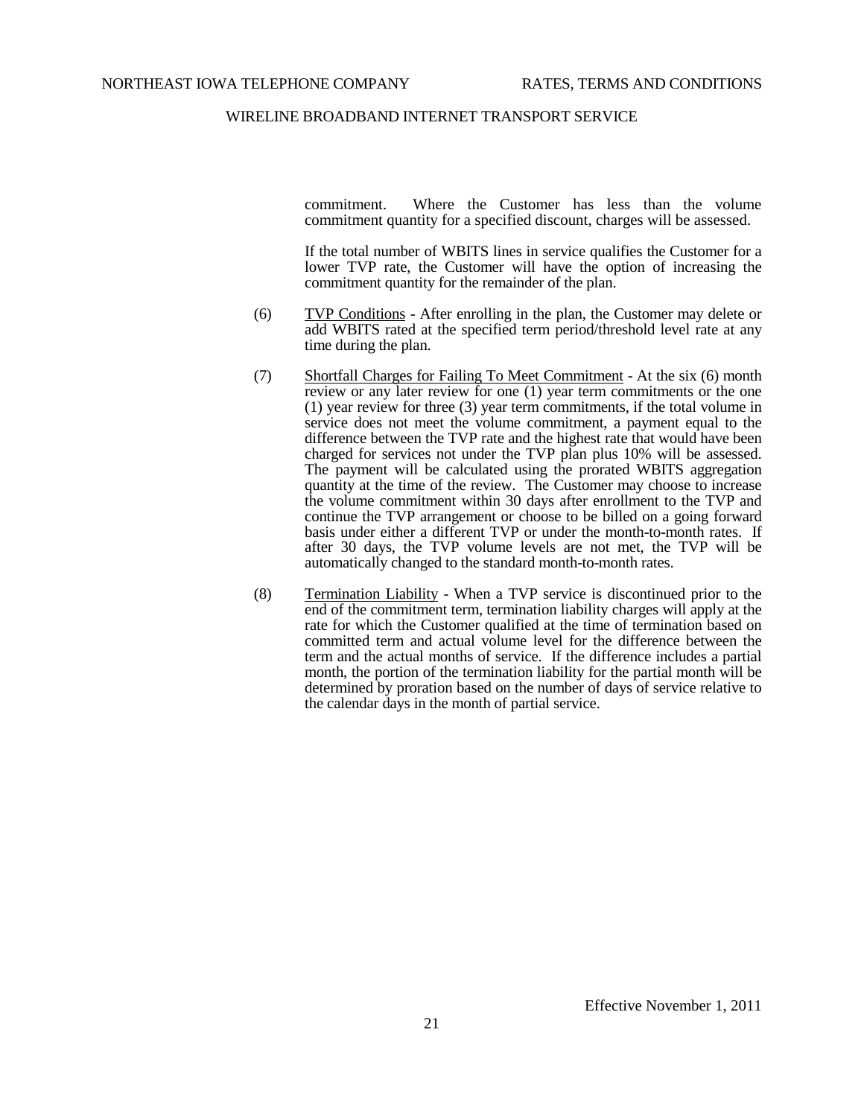commitment. Where the Customer has less than the volume commitment quantity for a specified discount, charges will be assessed.

If the total number of WBITS lines in service qualifies the Customer for a lower TVP rate, the Customer will have the option of increasing the commitment quantity for the remainder of the plan.

- (6) TVP Conditions After enrolling in the plan, the Customer may delete or add WBITS rated at the specified term period/threshold level rate at any time during the plan.
- (7) Shortfall Charges for Failing To Meet Commitment At the six (6) month review or any later review for one (1) year term commitments or the one (1) year review for three (3) year term commitments, if the total volume in service does not meet the volume commitment, a payment equal to the difference between the TVP rate and the highest rate that would have been charged for services not under the TVP plan plus 10% will be assessed. The payment will be calculated using the prorated WBITS aggregation quantity at the time of the review. The Customer may choose to increase the volume commitment within 30 days after enrollment to the TVP and continue the TVP arrangement or choose to be billed on a going forward basis under either a different TVP or under the month-to-month rates. If after 30 days, the TVP volume levels are not met, the TVP will be automatically changed to the standard month-to-month rates.
- (8) Termination Liability When a TVP service is discontinued prior to the end of the commitment term, termination liability charges will apply at the rate for which the Customer qualified at the time of termination based on committed term and actual volume level for the difference between the term and the actual months of service. If the difference includes a partial month, the portion of the termination liability for the partial month will be determined by proration based on the number of days of service relative to the calendar days in the month of partial service.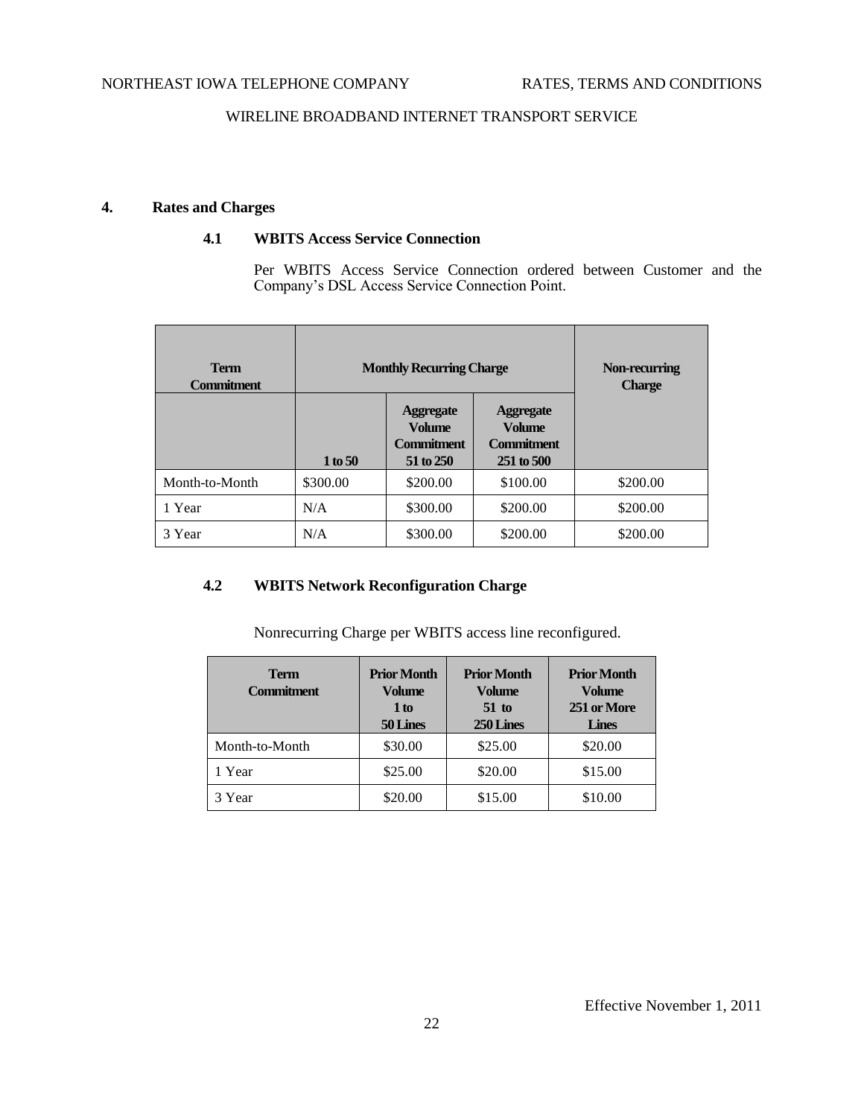# **4. Rates and Charges**

# **4.1 WBITS Access Service Connection**

Per WBITS Access Service Connection ordered between Customer and the Company's DSL Access Service Connection Point.

| <b>Term</b><br><b>Commitment</b> | <b>Monthly Recurring Charge</b> | Non-recurring<br><b>Charge</b>                                      |                                                                      |          |
|----------------------------------|---------------------------------|---------------------------------------------------------------------|----------------------------------------------------------------------|----------|
|                                  | 1 to 50                         | <b>Aggregate</b><br><b>Volume</b><br><b>Commitment</b><br>51 to 250 | <b>Aggregate</b><br><b>Volume</b><br><b>Commitment</b><br>251 to 500 |          |
| Month-to-Month                   | \$300.00                        | \$200.00                                                            | \$100.00                                                             | \$200.00 |
| 1 Year                           | N/A                             | \$300.00                                                            | \$200.00                                                             | \$200.00 |
| 3 Year                           | N/A                             | \$300.00                                                            | \$200.00                                                             | \$200.00 |

# **4.2 WBITS Network Reconfiguration Charge**

Nonrecurring Charge per WBITS access line reconfigured.

| <b>Term</b><br><b>Commitment</b> | <b>Prior Month</b><br><b>Volume</b><br>1 to<br>50 Lines | <b>Prior Month</b><br><b>Volume</b><br>$51$ to<br>250 Lines | <b>Prior Month</b><br><b>Volume</b><br>251 or More<br><b>Lines</b> |
|----------------------------------|---------------------------------------------------------|-------------------------------------------------------------|--------------------------------------------------------------------|
| Month-to-Month                   | \$30.00                                                 | \$25.00                                                     | \$20.00                                                            |
| 1 Year                           | \$25.00                                                 | \$20.00                                                     | \$15.00                                                            |
| 3 Year                           | \$20.00                                                 | \$15.00                                                     | \$10.00                                                            |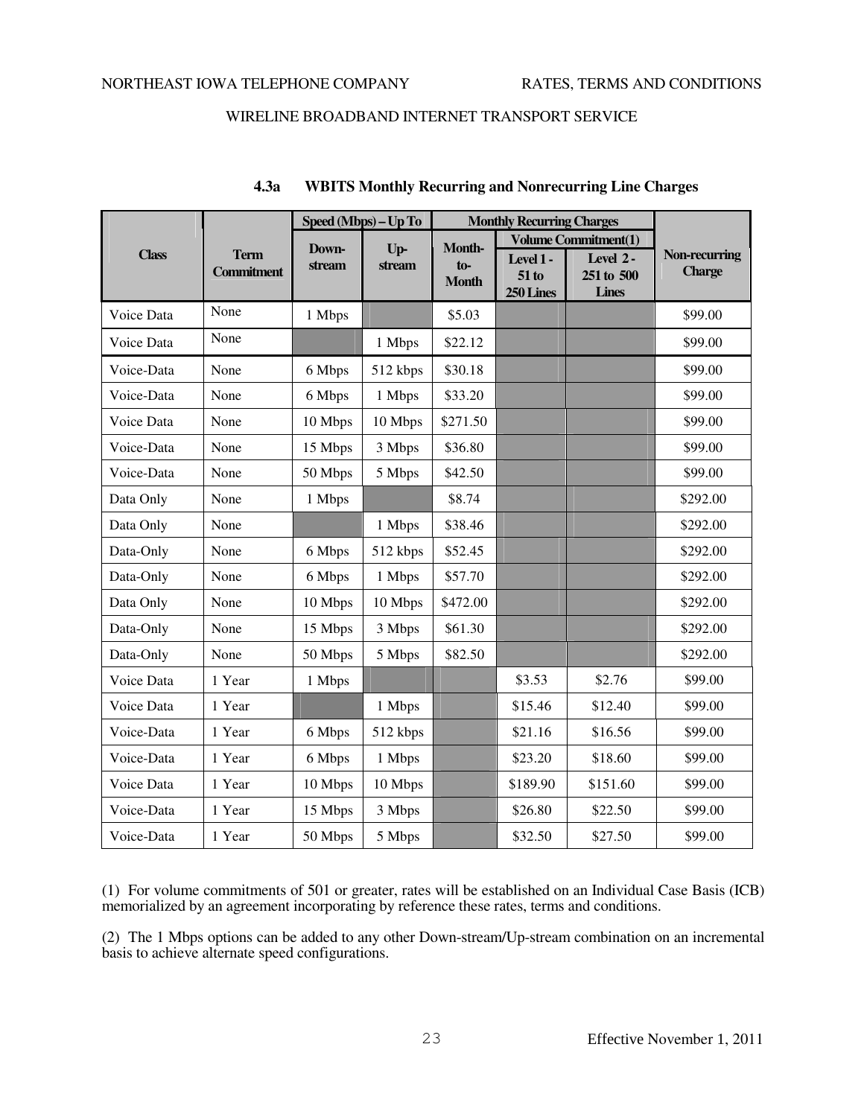|              |                                  | Speed (Mbps) - Up To |          | <b>Monthly Recurring Charges</b> |                                  |                                        |                                |
|--------------|----------------------------------|----------------------|----------|----------------------------------|----------------------------------|----------------------------------------|--------------------------------|
|              |                                  | Down-                | $Up-$    | Month-                           | <b>Volume Commitment(1)</b>      |                                        |                                |
| <b>Class</b> | <b>Term</b><br><b>Commitment</b> | stream               | stream   | $to$ -<br><b>Month</b>           | Level 1-<br>$51$ to<br>250 Lines | Level 2-<br>251 to 500<br><b>Lines</b> | Non-recurring<br><b>Charge</b> |
| Voice Data   | None                             | 1 Mbps               |          | \$5.03                           |                                  |                                        | \$99.00                        |
| Voice Data   | None                             |                      | 1 Mbps   | \$22.12                          |                                  |                                        | \$99.00                        |
| Voice-Data   | None                             | 6 Mbps               | 512 kbps | \$30.18                          |                                  |                                        | \$99.00                        |
| Voice-Data   | None                             | 6 Mbps               | 1 Mbps   | \$33.20                          |                                  |                                        | \$99.00                        |
| Voice Data   | None                             | 10 Mbps              | 10 Mbps  | \$271.50                         |                                  |                                        | \$99.00                        |
| Voice-Data   | None                             | 15 Mbps              | 3 Mbps   | \$36.80                          |                                  |                                        | \$99.00                        |
| Voice-Data   | None                             | 50 Mbps              | 5 Mbps   | \$42.50                          |                                  |                                        | \$99.00                        |
| Data Only    | None                             | 1 Mbps               |          | \$8.74                           |                                  |                                        | \$292.00                       |
| Data Only    | None                             |                      | 1 Mbps   | \$38.46                          |                                  |                                        | \$292.00                       |
| Data-Only    | None                             | 6 Mbps               | 512 kbps | \$52.45                          |                                  |                                        | \$292.00                       |
| Data-Only    | None                             | 6 Mbps               | 1 Mbps   | \$57.70                          |                                  |                                        | \$292.00                       |
| Data Only    | None                             | 10 Mbps              | 10 Mbps  | \$472.00                         |                                  |                                        | \$292.00                       |
| Data-Only    | None                             | 15 Mbps              | 3 Mbps   | \$61.30                          |                                  |                                        | \$292.00                       |
| Data-Only    | None                             | 50 Mbps              | 5 Mbps   | \$82.50                          |                                  |                                        | \$292.00                       |
| Voice Data   | 1 Year                           | 1 Mbps               |          |                                  | \$3.53                           | \$2.76                                 | \$99.00                        |
| Voice Data   | 1 Year                           |                      | 1 Mbps   |                                  | \$15.46                          | \$12.40                                | \$99.00                        |
| Voice-Data   | 1 Year                           | 6 Mbps               | 512 kbps |                                  | \$21.16                          | \$16.56                                | \$99.00                        |
| Voice-Data   | 1 Year                           | 6 Mbps               | 1 Mbps   |                                  | \$23.20                          | \$18.60                                | \$99.00                        |
| Voice Data   | 1 Year                           | 10 Mbps              | 10 Mbps  |                                  | \$189.90                         | \$151.60                               | \$99.00                        |
| Voice-Data   | 1 Year                           | 15 Mbps              | 3 Mbps   |                                  | \$26.80                          | \$22.50                                | \$99.00                        |
| Voice-Data   | 1 Year                           | 50 Mbps              | 5 Mbps   |                                  | \$32.50                          | \$27.50                                | \$99.00                        |

# **4.3a WBITS Monthly Recurring and Nonrecurring Line Charges**

(1) For volume commitments of 501 or greater, rates will be established on an Individual Case Basis (ICB) memorialized by an agreement incorporating by reference these rates, terms and conditions.

(2) The 1 Mbps options can be added to any other Down-stream/Up-stream combination on an incremental basis to achieve alternate speed configurations.